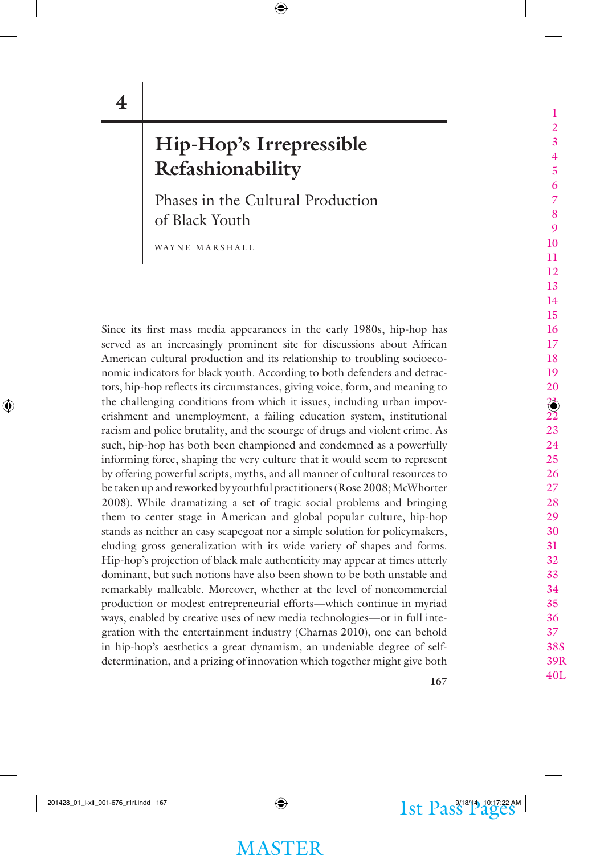⊕

# **4**

⊕

# **Hip-Hop's Irrepressible Refashionability**

Phases in the Cultural Production of Black Youth

WAYNE MARSHALL

Since its first mass media appearances in the early 1980s, hip-hop has served as an increasingly prominent site for discussions about African American cultural production and its relationship to troubling socioeconomic indicators for black youth. According to both defenders and detractors, hip-hop reflects its circumstances, giving voice, form, and meaning to the challenging conditions from which it issues, including urban impoverishment and unemployment, a failing education system, institutional racism and police brutality, and the scourge of drugs and violent crime. As such, hip-hop has both been championed and condemned as a powerfully informing force, shaping the very culture that it would seem to represent by offering powerful scripts, myths, and all manner of cultural resources to be taken up and reworked by youthful practitioners (Rose 2008; McWhorter 2008). While dramatizing a set of tragic social problems and bringing them to center stage in American and global popular culture, hip-hop stands as neither an easy scapegoat nor a simple solution for policymakers, eluding gross generalization with its wide variety of shapes and forms. Hip-hop's projection of black male authenticity may appear at times utterly dominant, but such notions have also been shown to be both unstable and remarkably malleable. Moreover, whether at the level of noncommercial production or modest entrepreneurial efforts—which continue in myriad ways, enabled by creative uses of new media technologies—or in full integration with the entertainment industry (Charnas 2010), one can behold in hip-hop's aesthetics a great dynamism, an undeniable degree of selfdetermination, and a prizing of innovation which together might give both

**167**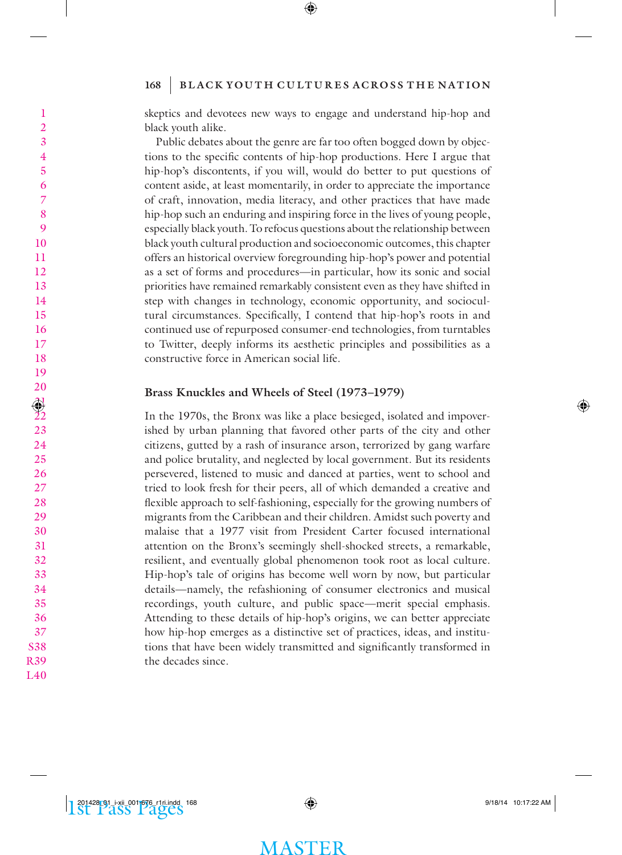$\bigoplus$ 

skeptics and devotees new ways to engage and understand hip-hop and black youth alike.

Public debates about the genre are far too often bogged down by objections to the specific contents of hip-hop productions. Here I argue that hip-hop's discontents, if you will, would do better to put questions of content aside, at least momentarily, in order to appreciate the importance of craft, innovation, media literacy, and other practices that have made hip-hop such an enduring and inspiring force in the lives of young people, especially black youth. To refocus questions about the relationship between black youth cultural production and socioeconomic outcomes, this chapter offers an historical overview foregrounding hip-hop's power and potential as a set of forms and procedures—in particular, how its sonic and social priorities have remained remarkably consistent even as they have shifted in step with changes in technology, economic opportunity, and sociocultural circumstances. Specifically, I contend that hip-hop's roots in and continued use of repurposed consumer-end technologies, from turntables to Twitter, deeply informs its aesthetic principles and possibilities as a constructive force in American social life.

#### **Brass Knuckles and Wheels of Steel (1973–1979)**

In the 1970s, the Bronx was like a place besieged, isolated and impoverished by urban planning that favored other parts of the city and other citizens, gutted by a rash of insurance arson, terrorized by gang warfare and police brutality, and neglected by local government. But its residents persevered, listened to music and danced at parties, went to school and tried to look fresh for their peers, all of which demanded a creative and flexible approach to self-fashioning, especially for the growing numbers of migrants from the Caribbean and their children. Amidst such poverty and malaise that a 1977 visit from President Carter focused international attention on the Bronx's seemingly shell-shocked streets, a remarkable, resilient, and eventually global phenomenon took root as local culture. Hip-hop's tale of origins has become well worn by now, but particular details—namely, the refashioning of consumer electronics and musical recordings, youth culture, and public space—merit special emphasis. Attending to these details of hip-hop's origins, we can better appreciate how hip-hop emerges as a distinctive set of practices, ideas, and institutions that have been widely transmitted and significantly transformed in the decades since.

⊕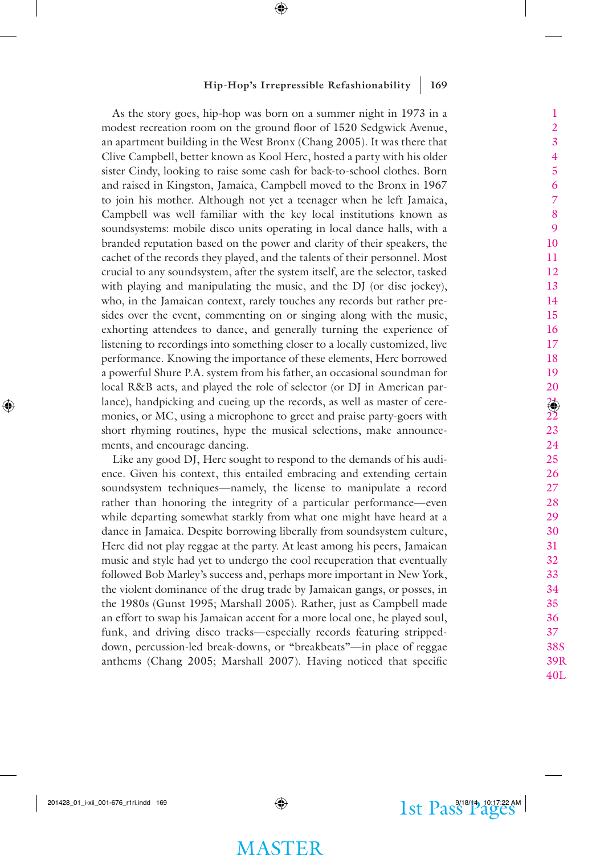As the story goes, hip-hop was born on a summer night in 1973 in a modest recreation room on the ground floor of 1520 Sedgwick Avenue, an apartment building in the West Bronx (Chang 2005). It was there that Clive Campbell, better known as Kool Herc, hosted a party with his older sister Cindy, looking to raise some cash for back-to-school clothes. Born and raised in Kingston, Jamaica, Campbell moved to the Bronx in 1967 to join his mother. Although not yet a teenager when he left Jamaica, Campbell was well familiar with the key local institutions known as soundsystems: mobile disco units operating in local dance halls, with a branded reputation based on the power and clarity of their speakers, the cachet of the records they played, and the talents of their personnel. Most crucial to any soundsystem, after the system itself, are the selector, tasked with playing and manipulating the music, and the DJ (or disc jockey), who, in the Jamaican context, rarely touches any records but rather presides over the event, commenting on or singing along with the music, exhorting attendees to dance, and generally turning the experience of listening to recordings into something closer to a locally customized, live performance. Knowing the importance of these elements, Herc borrowed a powerful Shure P.A. system from his father, an occasional soundman for local R&B acts, and played the role of selector (or DJ in American parlance), handpicking and cueing up the records, as well as master of ceremonies, or MC, using a microphone to greet and praise party-goers with short rhyming routines, hype the musical selections, make announcements, and encourage dancing.

⊕

Like any good DJ, Herc sought to respond to the demands of his audience. Given his context, this entailed embracing and extending certain soundsystem techniques—namely, the license to manipulate a record rather than honoring the integrity of a particular performance—even while departing somewhat starkly from what one might have heard at a dance in Jamaica. Despite borrowing liberally from soundsystem culture, Herc did not play reggae at the party. At least among his peers, Jamaican music and style had yet to undergo the cool recuperation that eventually followed Bob Marley's success and, perhaps more important in New York, the violent dominance of the drug trade by Jamaican gangs, or posses, in the 1980s (Gunst 1995; Marshall 2005). Rather, just as Campbell made an effort to swap his Jamaican accent for a more local one, he played soul, funk, and driving disco tracks—especially records featuring strippeddown, percussion-led break-downs, or "breakbeats"—in place of reggae anthems (Chang 2005; Marshall 2007). Having noticed that specific

> 37 38S 39R 40L

1 2

⊕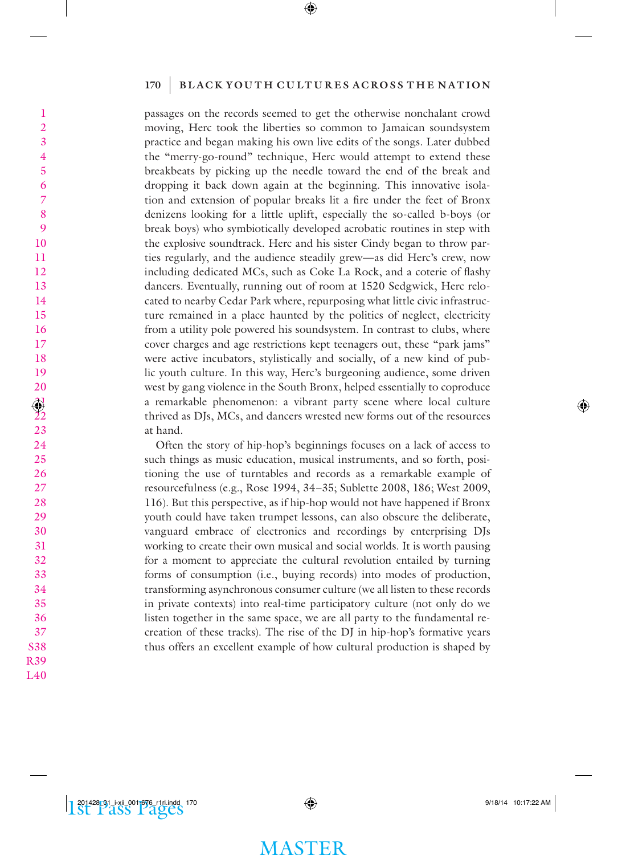⊕

passages on the records seemed to get the otherwise nonchalant crowd moving, Herc took the liberties so common to Jamaican soundsystem practice and began making his own live edits of the songs. Later dubbed the "merry-go-round" technique, Herc would attempt to extend these breakbeats by picking up the needle toward the end of the break and dropping it back down again at the beginning. This innovative isolation and extension of popular breaks lit a fire under the feet of Bronx denizens looking for a little uplift, especially the so-called b-boys (or break boys) who symbiotically developed acrobatic routines in step with the explosive soundtrack. Herc and his sister Cindy began to throw parties regularly, and the audience steadily grew—as did Herc's crew, now including dedicated MCs, such as Coke La Rock, and a coterie of flashy dancers. Eventually, running out of room at 1520 Sedgwick, Herc relocated to nearby Cedar Park where, repurposing what little civic infrastructure remained in a place haunted by the politics of neglect, electricity from a utility pole powered his soundsystem. In contrast to clubs, where cover charges and age restrictions kept teenagers out, these "park jams" were active incubators, stylistically and socially, of a new kind of public youth culture. In this way, Herc's burgeoning audience, some driven west by gang violence in the South Bronx, helped essentially to coproduce a remarkable phenomenon: a vibrant party scene where local culture thrived as DJs, MCs, and dancers wrested new forms out of the resources at hand.

Often the story of hip-hop's beginnings focuses on a lack of access to such things as music education, musical instruments, and so forth, positioning the use of turntables and records as a remarkable example of resourcefulness (e.g., Rose 1994, 34–35; Sublette 2008, 186; West 2009, 116). But this perspective, as if hip-hop would not have happened if Bronx youth could have taken trumpet lessons, can also obscure the deliberate, vanguard embrace of electronics and recordings by enterprising DJs working to create their own musical and social worlds. It is worth pausing for a moment to appreciate the cultural revolution entailed by turning forms of consumption (i.e., buying records) into modes of production, transforming asynchronous consumer culture (we all listen to these records in private contexts) into real-time participatory culture (not only do we listen together in the same space, we are all party to the fundamental recreation of these tracks). The rise of the DJ in hip-hop's formative years thus offers an excellent example of how cultural production is shaped by

**1** 201428\_01\_i-xii\_001-676\_r1ri.indd 170 9/18/14 10:17:22 AM<br> **1** St Pass Pages

⊕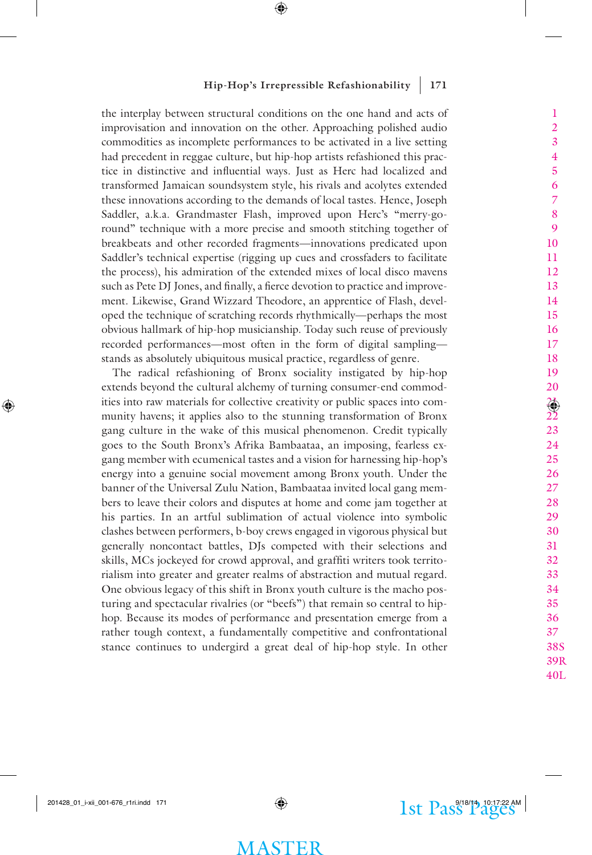the interplay between structural conditions on the one hand and acts of improvisation and innovation on the other. Approaching polished audio commodities as incomplete performances to be activated in a live setting had precedent in reggae culture, but hip-hop artists refashioned this practice in distinctive and influential ways. Just as Herc had localized and transformed Jamaican soundsystem style, his rivals and acolytes extended these innovations according to the demands of local tastes. Hence, Joseph Saddler, a.k.a. Grandmaster Flash, improved upon Herc's "merry-goround" technique with a more precise and smooth stitching together of breakbeats and other recorded fragments—innovations predicated upon Saddler's technical expertise (rigging up cues and crossfaders to facilitate the process), his admiration of the extended mixes of local disco mavens such as Pete DJ Jones, and finally, a fierce devotion to practice and improvement. Likewise, Grand Wizzard Theodore, an apprentice of Flash, developed the technique of scratching records rhythmically—perhaps the most obvious hallmark of hip-hop musicianship. Today such reuse of previously recorded performances—most often in the form of digital sampling stands as absolutely ubiquitous musical practice, regardless of genre.

⊕

The radical refashioning of Bronx sociality instigated by hip-hop extends beyond the cultural alchemy of turning consumer-end commodities into raw materials for collective creativity or public spaces into community havens; it applies also to the stunning transformation of Bronx gang culture in the wake of this musical phenomenon. Credit typically goes to the South Bronx's Afrika Bambaataa, an imposing, fearless exgang member with ecumenical tastes and a vision for harnessing hip-hop's energy into a genuine social movement among Bronx youth. Under the banner of the Universal Zulu Nation, Bambaataa invited local gang members to leave their colors and disputes at home and come jam together at his parties. In an artful sublimation of actual violence into symbolic clashes between performers, b-boy crews engaged in vigorous physical but generally noncontact battles, DJs competed with their selections and skills, MCs jockeyed for crowd approval, and graffiti writers took territorialism into greater and greater realms of abstraction and mutual regard. One obvious legacy of this shift in Bronx youth culture is the macho posturing and spectacular rivalries (or "beefs") that remain so central to hiphop. Because its modes of performance and presentation emerge from a rather tough context, a fundamentally competitive and confrontational stance continues to undergird a great deal of hip-hop style. In other

1

⊕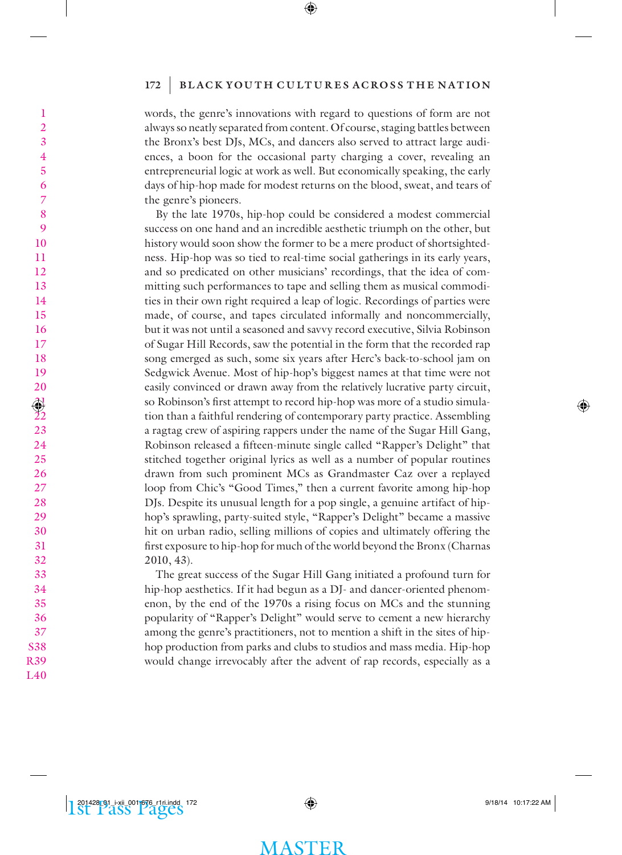⊕

words, the genre's innovations with regard to questions of form are not always so neatly separated from content. Of course, staging battles between the Bronx's best DJs, MCs, and dancers also served to attract large audiences, a boon for the occasional party charging a cover, revealing an entrepreneurial logic at work as well. But economically speaking, the early days of hip-hop made for modest returns on the blood, sweat, and tears of the genre's pioneers.

By the late 1970s, hip-hop could be considered a modest commercial success on one hand and an incredible aesthetic triumph on the other, but history would soon show the former to be a mere product of shortsightedness. Hip-hop was so tied to real-time social gatherings in its early years, and so predicated on other musicians' recordings, that the idea of committing such performances to tape and selling them as musical commodities in their own right required a leap of logic. Recordings of parties were made, of course, and tapes circulated informally and noncommercially, but it was not until a seasoned and savvy record executive, Silvia Robinson of Sugar Hill Records, saw the potential in the form that the recorded rap song emerged as such, some six years after Herc's back-to-school jam on Sedgwick Avenue. Most of hip-hop's biggest names at that time were not easily convinced or drawn away from the relatively lucrative party circuit, so Robinson's first attempt to record hip-hop was more of a studio simulation than a faithful rendering of contemporary party practice. Assembling a ragtag crew of aspiring rappers under the name of the Sugar Hill Gang, Robinson released a fifteen-minute single called "Rapper's Delight" that stitched together original lyrics as well as a number of popular routines drawn from such prominent MCs as Grandmaster Caz over a replayed loop from Chic's "Good Times," then a current favorite among hip-hop DJs. Despite its unusual length for a pop single, a genuine artifact of hiphop's sprawling, party-suited style, "Rapper's Delight" became a massive hit on urban radio, selling millions of copies and ultimately offering the first exposure to hip-hop for much of the world beyond the Bronx (Charnas 2010, 43).

The great success of the Sugar Hill Gang initiated a profound turn for hip-hop aesthetics. If it had begun as a DJ- and dancer-oriented phenomenon, by the end of the 1970s a rising focus on MCs and the stunning popularity of "Rapper's Delight" would serve to cement a new hierarchy among the genre's practitioners, not to mention a shift in the sites of hiphop production from parks and clubs to studios and mass media. Hip-hop would change irrevocably after the advent of rap records, especially as a

⊕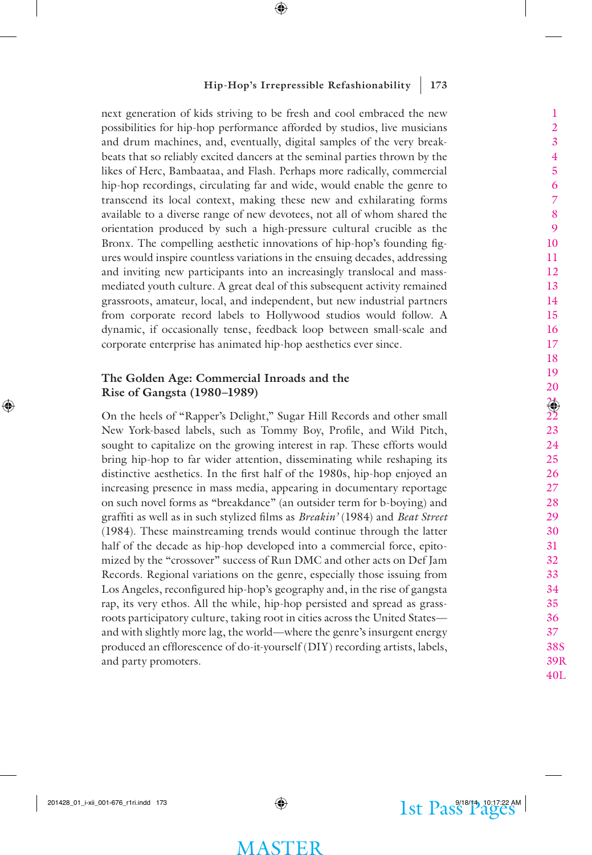next generation of kids striving to be fresh and cool embraced the new possibilities for hip-hop performance afforded by studios, live musicians and drum machines, and, eventually, digital samples of the very breakbeats that so reliably excited dancers at the seminal parties thrown by the likes of Herc, Bambaataa, and Flash. Perhaps more radically, commercial hip-hop recordings, circulating far and wide, would enable the genre to transcend its local context, making these new and exhilarating forms available to a diverse range of new devotees, not all of whom shared the orientation produced by such a high-pressure cultural crucible as the Bronx. The compelling aesthetic innovations of hip-hop's founding figures would inspire countless variations in the ensuing decades, addressing and inviting new participants into an increasingly translocal and massmediated youth culture. A great deal of this subsequent activity remained grassroots, amateur, local, and independent, but new industrial partners from corporate record labels to Hollywood studios would follow. A dynamic, if occasionally tense, feedback loop between small-scale and corporate enterprise has animated hip-hop aesthetics ever since.

⊕

#### **The Golden Age: Commercial Inroads and the Rise of Gangsta (1980–1989)**

On the heels of "Rapper's Delight," Sugar Hill Records and other small New York-based labels, such as Tommy Boy, Profile, and Wild Pitch, sought to capitalize on the growing interest in rap. These efforts would bring hip-hop to far wider attention, disseminating while reshaping its distinctive aesthetics. In the first half of the 1980s, hip-hop enjoyed an increasing presence in mass media, appearing in documentary reportage on such novel forms as "breakdance" (an outsider term for b-boying) and graffiti as well as in such stylized films as *Breakin'* (1984) and *Beat Street* (1984). These mainstreaming trends would continue through the latter half of the decade as hip-hop developed into a commercial force, epitomized by the "crossover" success of Run DMC and other acts on Def Jam Records. Regional variations on the genre, especially those issuing from Los Angeles, reconfigured hip-hop's geography and, in the rise of gangsta rap, its very ethos. All the while, hip-hop persisted and spread as grassroots participatory culture, taking root in cities across the United States and with slightly more lag, the world—where the genre's insurgent energy produced an efflorescence of do-it-yourself (DIY) recording artists, labels, and party promoters.

> 38S 39R 40L

⊕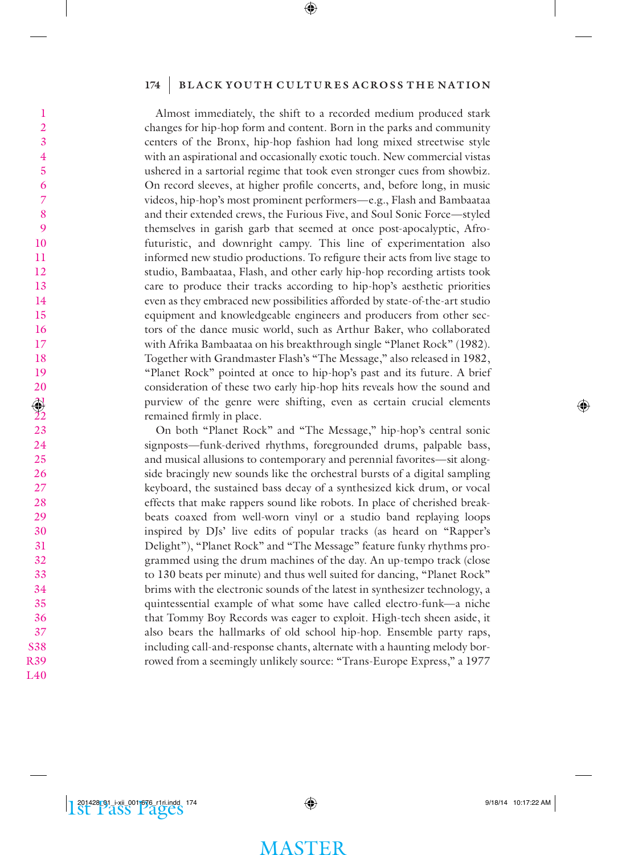⊕

Almost immediately, the shift to a recorded medium produced stark changes for hip-hop form and content. Born in the parks and community centers of the Bronx, hip-hop fashion had long mixed streetwise style with an aspirational and occasionally exotic touch. New commercial vistas ushered in a sartorial regime that took even stronger cues from showbiz. On record sleeves, at higher profile concerts, and, before long, in music videos, hip-hop's most prominent performers—e.g., Flash and Bambaataa and their extended crews, the Furious Five, and Soul Sonic Force—styled themselves in garish garb that seemed at once post-apocalyptic, Afrofuturistic, and downright campy. This line of experimentation also informed new studio productions. To refigure their acts from live stage to studio, Bambaataa, Flash, and other early hip-hop recording artists took care to produce their tracks according to hip-hop's aesthetic priorities even as they embraced new possibilities afforded by state-of-the-art studio equipment and knowledgeable engineers and producers from other sectors of the dance music world, such as Arthur Baker, who collaborated with Afrika Bambaataa on his breakthrough single "Planet Rock" (1982). Together with Grandmaster Flash's "The Message," also released in 1982, "Planet Rock" pointed at once to hip-hop's past and its future. A brief consideration of these two early hip-hop hits reveals how the sound and purview of the genre were shifting, even as certain crucial elements remained firmly in place.

On both "Planet Rock" and "The Message," hip-hop's central sonic signposts—funk-derived rhythms, foregrounded drums, palpable bass, and musical allusions to contemporary and perennial favorites—sit alongside bracingly new sounds like the orchestral bursts of a digital sampling keyboard, the sustained bass decay of a synthesized kick drum, or vocal effects that make rappers sound like robots. In place of cherished breakbeats coaxed from well-worn vinyl or a studio band replaying loops inspired by DJs' live edits of popular tracks (as heard on "Rapper's Delight"), "Planet Rock" and "The Message" feature funky rhythms programmed using the drum machines of the day. An up-tempo track (close to 130 beats per minute) and thus well suited for dancing, "Planet Rock" brims with the electronic sounds of the latest in synthesizer technology, a quintessential example of what some have called electro-funk—a niche that Tommy Boy Records was eager to exploit. High-tech sheen aside, it also bears the hallmarks of old school hip-hop. Ensemble party raps, including call-and-response chants, alternate with a haunting melody borrowed from a seemingly unlikely source: "Trans-Europe Express," a 1977

⊕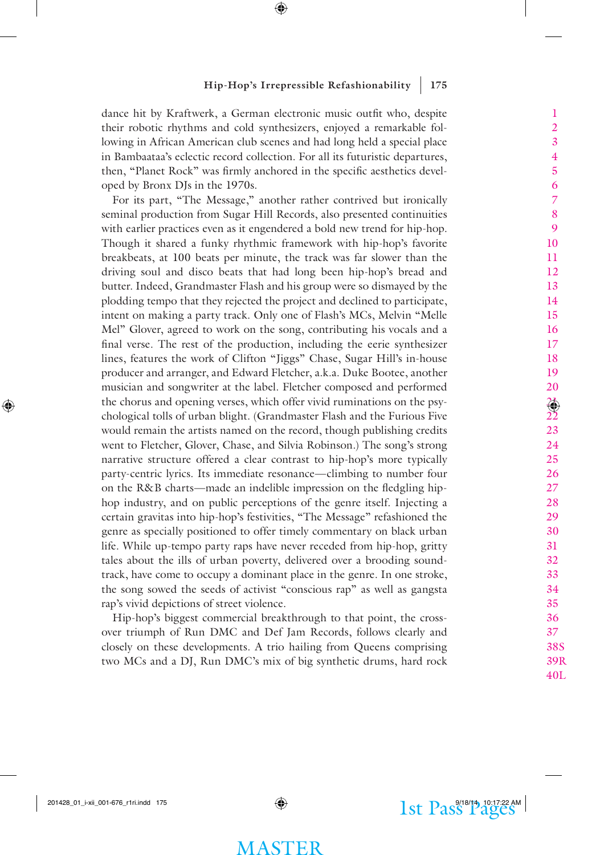dance hit by Kraftwerk, a German electronic music outfit who, despite their robotic rhythms and cold synthesizers, enjoyed a remarkable following in African American club scenes and had long held a special place in Bambaataa's eclectic record collection. For all its futuristic departures, then, "Planet Rock" was firmly anchored in the specific aesthetics developed by Bronx DJs in the 1970s.

⊕

For its part, "The Message," another rather contrived but ironically seminal production from Sugar Hill Records, also presented continuities with earlier practices even as it engendered a bold new trend for hip-hop. Though it shared a funky rhythmic framework with hip-hop's favorite breakbeats, at 100 beats per minute, the track was far slower than the driving soul and disco beats that had long been hip-hop's bread and butter. Indeed, Grandmaster Flash and his group were so dismayed by the plodding tempo that they rejected the project and declined to participate, intent on making a party track. Only one of Flash's MCs, Melvin "Melle Mel" Glover, agreed to work on the song, contributing his vocals and a final verse. The rest of the production, including the eerie synthesizer lines, features the work of Clifton "Jiggs" Chase, Sugar Hill's in-house producer and arranger, and Edward Fletcher, a.k.a. Duke Bootee, another musician and songwriter at the label. Fletcher composed and performed the chorus and opening verses, which offer vivid ruminations on the psychological tolls of urban blight. (Grandmaster Flash and the Furious Five would remain the artists named on the record, though publishing credits went to Fletcher, Glover, Chase, and Silvia Robinson.) The song's strong narrative structure offered a clear contrast to hip-hop's more typically party-centric lyrics. Its immediate resonance—climbing to number four on the R&B charts—made an indelible impression on the fledgling hiphop industry, and on public perceptions of the genre itself. Injecting a certain gravitas into hip-hop's festivities, "The Message" refashioned the genre as specially positioned to offer timely commentary on black urban life. While up-tempo party raps have never receded from hip-hop, gritty tales about the ills of urban poverty, delivered over a brooding soundtrack, have come to occupy a dominant place in the genre. In one stroke, the song sowed the seeds of activist "conscious rap" as well as gangsta rap's vivid depictions of street violence.

Hip-hop's biggest commercial breakthrough to that point, the crossover triumph of Run DMC and Def Jam Records, follows clearly and closely on these developments. A trio hailing from Queens comprising two MCs and a DJ, Run DMC's mix of big synthetic drums, hard rock

⊕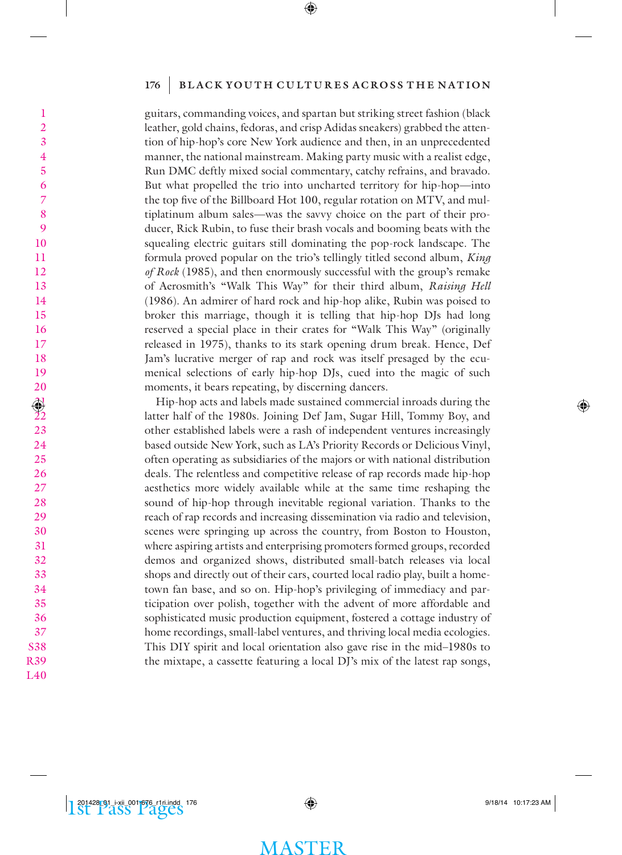⊕

guitars, commanding voices, and spartan but striking street fashion (black leather, gold chains, fedoras, and crisp Adidas sneakers) grabbed the attention of hip-hop's core New York audience and then, in an unprecedented manner, the national mainstream. Making party music with a realist edge, Run DMC deftly mixed social commentary, catchy refrains, and bravado. But what propelled the trio into uncharted territory for hip-hop—into the top five of the Billboard Hot 100, regular rotation on MTV, and multiplatinum album sales—was the savvy choice on the part of their producer, Rick Rubin, to fuse their brash vocals and booming beats with the squealing electric guitars still dominating the pop-rock landscape. The formula proved popular on the trio's tellingly titled second album, *King of Rock* (1985), and then enormously successful with the group's remake of Aerosmith's "Walk This Way" for their third album, *Raising Hell* (1986). An admirer of hard rock and hip-hop alike, Rubin was poised to broker this marriage, though it is telling that hip-hop DJs had long reserved a special place in their crates for "Walk This Way" (originally released in 1975), thanks to its stark opening drum break. Hence, Def Jam's lucrative merger of rap and rock was itself presaged by the ecumenical selections of early hip-hop DJs, cued into the magic of such moments, it bears repeating, by discerning dancers.

Hip-hop acts and labels made sustained commercial inroads during the latter half of the 1980s. Joining Def Jam, Sugar Hill, Tommy Boy, and other established labels were a rash of independent ventures increasingly based outside New York, such as LA's Priority Records or Delicious Vinyl, often operating as subsidiaries of the majors or with national distribution deals. The relentless and competitive release of rap records made hip-hop aesthetics more widely available while at the same time reshaping the sound of hip-hop through inevitable regional variation. Thanks to the reach of rap records and increasing dissemination via radio and television, scenes were springing up across the country, from Boston to Houston, where aspiring artists and enterprising promoters formed groups, recorded demos and organized shows, distributed small-batch releases via local shops and directly out of their cars, courted local radio play, built a hometown fan base, and so on. Hip-hop's privileging of immediacy and participation over polish, together with the advent of more affordable and sophisticated music production equipment, fostered a cottage industry of home recordings, small-label ventures, and thriving local media ecologies. This DIY spirit and local orientation also gave rise in the mid–1980s to the mixtape, a cassette featuring a local DJ's mix of the latest rap songs,

⊕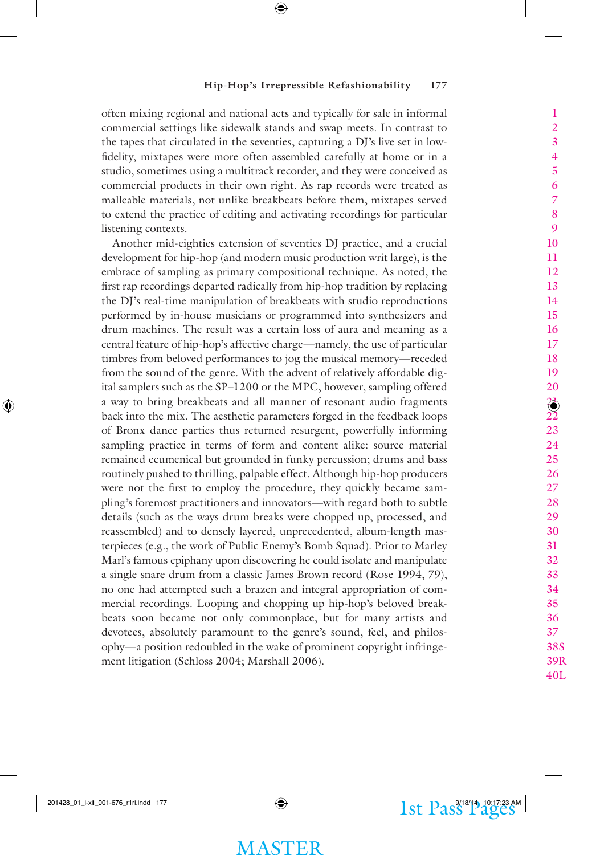often mixing regional and national acts and typically for sale in informal commercial settings like sidewalk stands and swap meets. In contrast to the tapes that circulated in the seventies, capturing a DJ's live set in lowfidelity, mixtapes were more often assembled carefully at home or in a studio, sometimes using a multitrack recorder, and they were conceived as commercial products in their own right. As rap records were treated as malleable materials, not unlike breakbeats before them, mixtapes served to extend the practice of editing and activating recordings for particular listening contexts.

⊕

Another mid-eighties extension of seventies DJ practice, and a crucial development for hip-hop (and modern music production writ large), is the embrace of sampling as primary compositional technique. As noted, the first rap recordings departed radically from hip-hop tradition by replacing the DJ's real-time manipulation of breakbeats with studio reproductions performed by in-house musicians or programmed into synthesizers and drum machines. The result was a certain loss of aura and meaning as a central feature of hip-hop's affective charge—namely, the use of particular timbres from beloved performances to jog the musical memory—receded from the sound of the genre. With the advent of relatively affordable digital samplers such as the SP–1200 or the MPC, however, sampling offered a way to bring breakbeats and all manner of resonant audio fragments back into the mix. The aesthetic parameters forged in the feedback loops of Bronx dance parties thus returned resurgent, powerfully informing sampling practice in terms of form and content alike: source material remained ecumenical but grounded in funky percussion; drums and bass routinely pushed to thrilling, palpable effect. Although hip-hop producers were not the first to employ the procedure, they quickly became sampling's foremost practitioners and innovators—with regard both to subtle details (such as the ways drum breaks were chopped up, processed, and reassembled) and to densely layered, unprecedented, album-length masterpieces (e.g., the work of Public Enemy's Bomb Squad). Prior to Marley Marl's famous epiphany upon discovering he could isolate and manipulate a single snare drum from a classic James Brown record (Rose 1994, 79), no one had attempted such a brazen and integral appropriation of commercial recordings. Looping and chopping up hip-hop's beloved breakbeats soon became not only commonplace, but for many artists and devotees, absolutely paramount to the genre's sound, feel, and philosophy—a position redoubled in the wake of prominent copyright infringement litigation (Schloss 2004; Marshall 2006).

37 38S 39R 40L

1

⊕

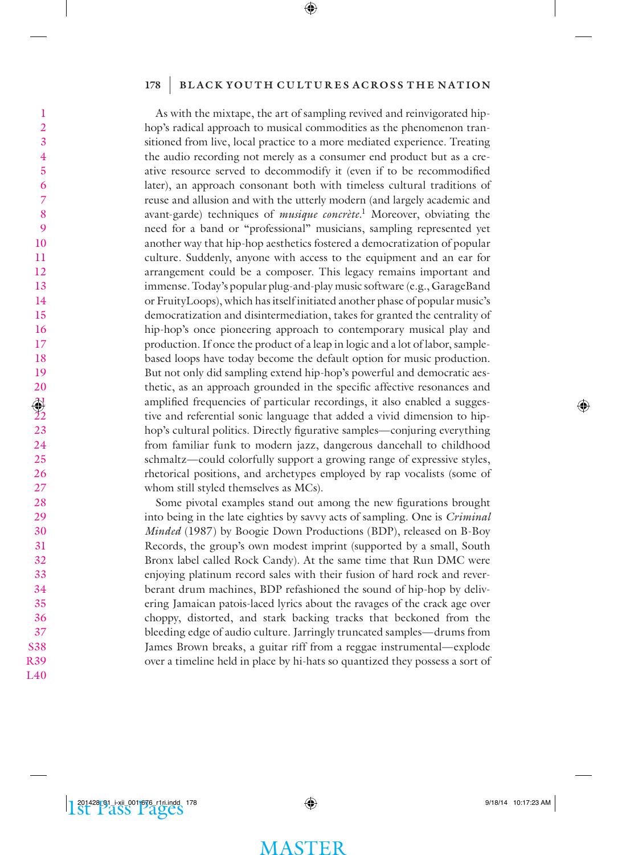⊕

As with the mixtape, the art of sampling revived and reinvigorated hiphop's radical approach to musical commodities as the phenomenon transitioned from live, local practice to a more mediated experience. Treating the audio recording not merely as a consumer end product but as a creative resource served to decommodify it (even if to be recommodified later), an approach consonant both with timeless cultural traditions of reuse and allusion and with the utterly modern (and largely academic and avant-garde) techniques of *musique concrète.*1 Moreover, obviating the need for a band or "professional" musicians, sampling represented yet another way that hip-hop aesthetics fostered a democratization of popular culture. Suddenly, anyone with access to the equipment and an ear for arrangement could be a composer. This legacy remains important and immense. Today's popular plug-and-play music software (e.g., GarageBand or FruityLoops), which has itself initiated another phase of popular music's democratization and disintermediation, takes for granted the centrality of hip-hop's once pioneering approach to contemporary musical play and production. If once the product of a leap in logic and a lot of labor, samplebased loops have today become the default option for music production. But not only did sampling extend hip-hop's powerful and democratic aesthetic, as an approach grounded in the specific affective resonances and amplified frequencies of particular recordings, it also enabled a suggestive and referential sonic language that added a vivid dimension to hiphop's cultural politics. Directly figurative samples—conjuring everything from familiar funk to modern jazz, dangerous dancehall to childhood schmaltz—could colorfully support a growing range of expressive styles, rhetorical positions, and archetypes employed by rap vocalists (some of whom still styled themselves as MCs).

Some pivotal examples stand out among the new figurations brought into being in the late eighties by savvy acts of sampling. One is *Criminal Minded* (1987) by Boogie Down Productions (BDP), released on B-Boy Records, the group's own modest imprint (supported by a small, South Bronx label called Rock Candy). At the same time that Run DMC were enjoying platinum record sales with their fusion of hard rock and reverberant drum machines, BDP refashioned the sound of hip-hop by delivering Jamaican patois-laced lyrics about the ravages of the crack age over choppy, distorted, and stark backing tracks that beckoned from the bleeding edge of audio culture. Jarringly truncated samples—drums from James Brown breaks, a guitar riff from a reggae instrumental—explode over a timeline held in place by hi-hats so quantized they possess a sort of

⊕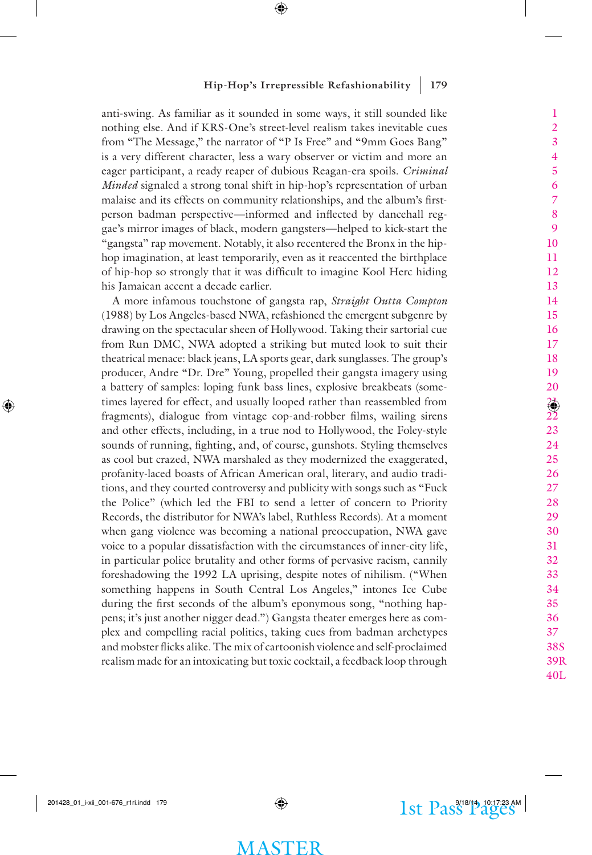anti-swing. As familiar as it sounded in some ways, it still sounded like nothing else. And if KRS-One's street-level realism takes inevitable cues from "The Message," the narrator of "P Is Free" and "9mm Goes Bang" is a very different character, less a wary observer or victim and more an eager participant, a ready reaper of dubious Reagan-era spoils. *Criminal Minded* signaled a strong tonal shift in hip-hop's representation of urban malaise and its effects on community relationships, and the album's firstperson badman perspective—informed and inflected by dancehall reggae's mirror images of black, modern gangsters—helped to kick-start the "gangsta" rap movement. Notably, it also recentered the Bronx in the hiphop imagination, at least temporarily, even as it reaccented the birthplace of hip-hop so strongly that it was difficult to imagine Kool Herc hiding his Jamaican accent a decade earlier.

⊕

A more infamous touchstone of gangsta rap, *Straight Outta Compton* (1988) by Los Angeles-based NWA, refashioned the emergent subgenre by drawing on the spectacular sheen of Hollywood. Taking their sartorial cue from Run DMC, NWA adopted a striking but muted look to suit their theatrical menace: black jeans, LA sports gear, dark sunglasses. The group's producer, Andre "Dr. Dre" Young, propelled their gangsta imagery using a battery of samples: loping funk bass lines, explosive breakbeats (sometimes layered for effect, and usually looped rather than reassembled from fragments), dialogue from vintage cop-and-robber films, wailing sirens and other effects, including, in a true nod to Hollywood, the Foley-style sounds of running, fighting, and, of course, gunshots. Styling themselves as cool but crazed, NWA marshaled as they modernized the exaggerated, profanity-laced boasts of African American oral, literary, and audio traditions, and they courted controversy and publicity with songs such as "Fuck the Police" (which led the FBI to send a letter of concern to Priority Records, the distributor for NWA's label, Ruthless Records). At a moment when gang violence was becoming a national preoccupation, NWA gave voice to a popular dissatisfaction with the circumstances of inner-city life, in particular police brutality and other forms of pervasive racism, cannily foreshadowing the 1992 LA uprising, despite notes of nihilism. ("When something happens in South Central Los Angeles," intones Ice Cube during the first seconds of the album's eponymous song, "nothing happens; it's just another nigger dead.") Gangsta theater emerges here as complex and compelling racial politics, taking cues from badman archetypes and mobster flicks alike. The mix of cartoonish violence and self-proclaimed realism made for an intoxicating but toxic cocktail, a feedback loop through

⊕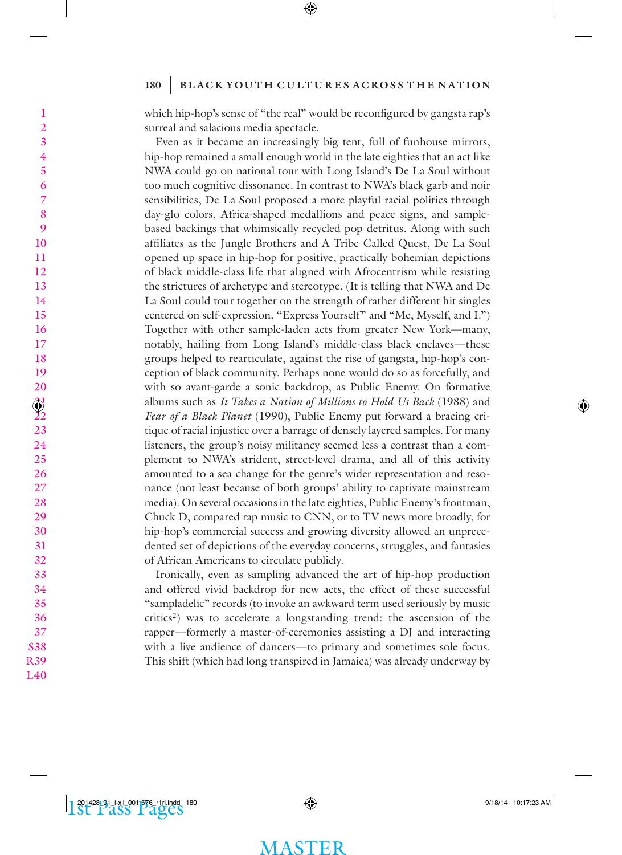⊕

which hip-hop's sense of "the real" would be reconfigured by gangsta rap's surreal and salacious media spectacle.

Even as it became an increasingly big tent, full of funhouse mirrors, hip-hop remained a small enough world in the late eighties that an act like NWA could go on national tour with Long Island's De La Soul without too much cognitive dissonance. In contrast to NWA's black garb and noir sensibilities, De La Soul proposed a more playful racial politics through day-glo colors, Africa-shaped medallions and peace signs, and samplebased backings that whimsically recycled pop detritus. Along with such affiliates as the Jungle Brothers and A Tribe Called Quest, De La Soul opened up space in hip-hop for positive, practically bohemian depictions of black middle-class life that aligned with Afrocentrism while resisting the strictures of archetype and stereotype. (It is telling that NWA and De La Soul could tour together on the strength of rather different hit singles centered on self-expression, "Express Yourself" and "Me, Myself, and I.") Together with other sample-laden acts from greater New York—many, notably, hailing from Long Island's middle-class black enclaves—these groups helped to rearticulate, against the rise of gangsta, hip-hop's conception of black community. Perhaps none would do so as forcefully, and with so avant-garde a sonic backdrop, as Public Enemy. On formative albums such as *It Takes a Nation of Millions to Hold Us Back* (1988) and *Fear of a Black Planet* (1990), Public Enemy put forward a bracing critique of racial injustice over a barrage of densely layered samples. For many listeners, the group's noisy militancy seemed less a contrast than a complement to NWA's strident, street-level drama, and all of this activity amounted to a sea change for the genre's wider representation and resonance (not least because of both groups' ability to captivate mainstream media). On several occasions in the late eighties, Public Enemy's frontman, Chuck D, compared rap music to CNN, or to TV news more broadly, for hip-hop's commercial success and growing diversity allowed an unprecedented set of depictions of the everyday concerns, struggles, and fantasies of African Americans to circulate publicly.

Ironically, even as sampling advanced the art of hip-hop production and offered vivid backdrop for new acts, the effect of these successful "sampladelic" records (to invoke an awkward term used seriously by music critics<sup>2</sup>) was to accelerate a longstanding trend: the ascension of the rapper—formerly a master-of-ceremonies assisting a DJ and interacting with a live audience of dancers—to primary and sometimes sole focus. This shift (which had long transpired in Jamaica) was already underway by

⊕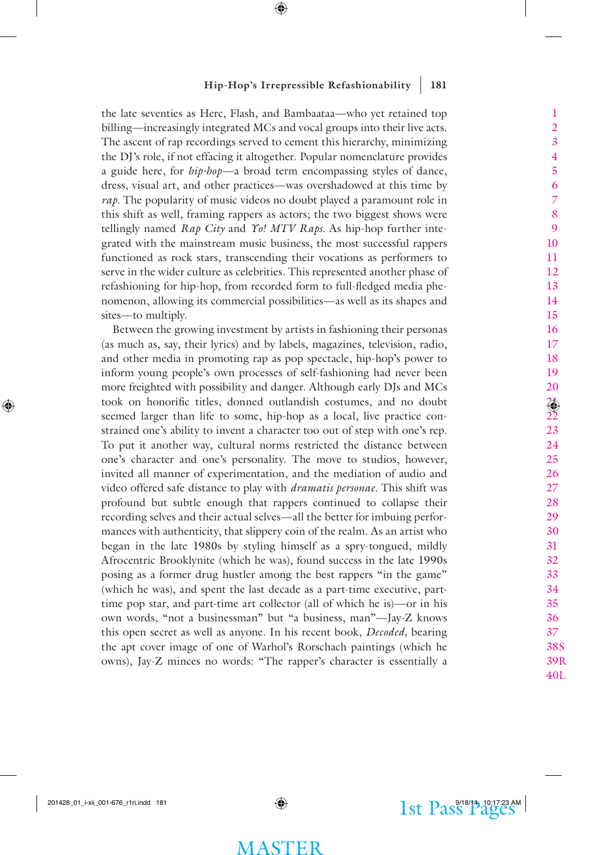the late seventies as Herc, Flash, and Bambaataa—who yet retained top billing—increasingly integrated MCs and vocal groups into their live acts. The ascent of rap recordings served to cement this hierarchy, minimizing the DJ's role, if not effacing it altogether. Popular nomenclature provides a guide here, for *hip-hop*—a broad term encompassing styles of dance, dress, visual art, and other practices—was overshadowed at this time by *rap.* The popularity of music videos no doubt played a paramount role in this shift as well, framing rappers as actors; the two biggest shows were tellingly named *Rap City* and *Yo! MTV Raps.* As hip-hop further integrated with the mainstream music business, the most successful rappers functioned as rock stars, transcending their vocations as performers to serve in the wider culture as celebrities. This represented another phase of refashioning for hip-hop, from recorded form to full-fledged media phenomenon, allowing its commercial possibilities—as well as its shapes and sites—to multiply.

⊕

Between the growing investment by artists in fashioning their personas (as much as, say, their lyrics) and by labels, magazines, television, radio, and other media in promoting rap as pop spectacle, hip-hop's power to inform young people's own processes of self-fashioning had never been more freighted with possibility and danger. Although early DJs and MCs took on honorific titles, donned outlandish costumes, and no doubt seemed larger than life to some, hip-hop as a local, live practice constrained one's ability to invent a character too out of step with one's rep. To put it another way, cultural norms restricted the distance between one's character and one's personality. The move to studios, however, invited all manner of experimentation, and the mediation of audio and video offered safe distance to play with *dramatis personae.* This shift was profound but subtle enough that rappers continued to collapse their recording selves and their actual selves—all the better for imbuing performances with authenticity, that slippery coin of the realm. As an artist who began in the late 1980s by styling himself as a spry-tongued, mildly Afrocentric Brooklynite (which he was), found success in the late 1990s posing as a former drug hustler among the best rappers "in the game" (which he was), and spent the last decade as a part-time executive, parttime pop star, and part-time art collector (all of which he is)—or in his own words, "not a businessman" but "a business, man"—Jay-Z knows this open secret as well as anyone. In his recent book, *Decoded,* bearing the apt cover image of one of Warhol's Rorschach paintings (which he owns), Jay-Z minces no words: "The rapper's character is essentially a

40L

⊕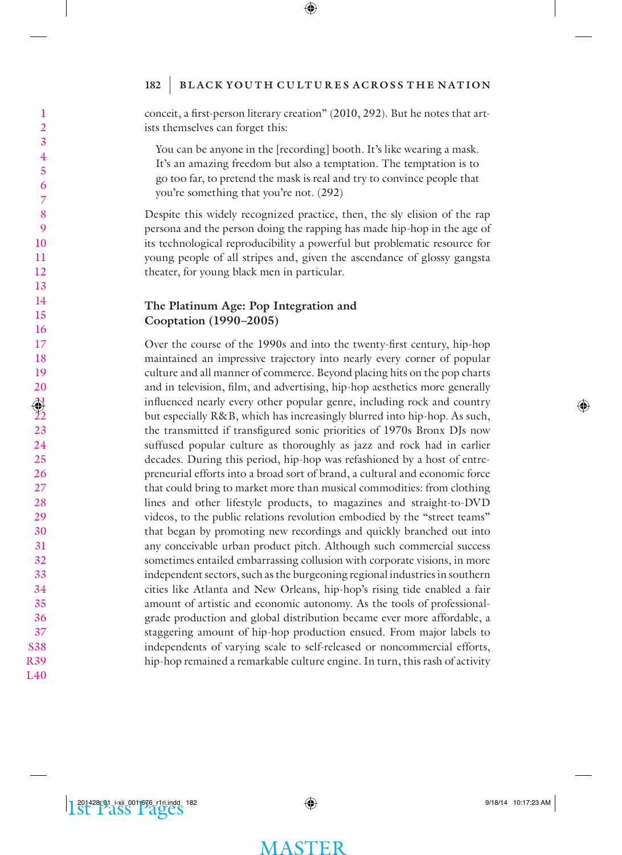$\bigoplus$ 

conceit, a first-person literary creation" (2010, 292). But he notes that artists themselves can forget this:

You can be anyone in the [recording] booth. It's like wearing a mask. It's an amazing freedom but also a temptation. The temptation is to go too far, to pretend the mask is real and try to convince people that you're something that you're not. (292)

Despite this widely recognized practice, then, the sly elision of the rap persona and the person doing the rapping has made hip-hop in the age of its technological reproducibility a powerful but problematic resource for young people of all stripes and, given the ascendance of glossy gangsta theater, for young black men in particular.

#### **The Platinum Age: Pop Integration and Cooptation (1990–2005)**

Over the course of the 1990s and into the twenty-first century, hip-hop maintained an impressive trajectory into nearly every corner of popular culture and all manner of commerce. Beyond placing hits on the pop charts and in television, film, and advertising, hip-hop aesthetics more generally influenced nearly every other popular genre, including rock and country but especially R&B, which has increasingly blurred into hip-hop. As such, the transmitted if transfigured sonic priorities of 1970s Bronx DJs now suffused popular culture as thoroughly as jazz and rock had in earlier decades. During this period, hip-hop was refashioned by a host of entrepreneurial efforts into a broad sort of brand, a cultural and economic force that could bring to market more than musical commodities: from clothing lines and other lifestyle products, to magazines and straight-to-DVD videos, to the public relations revolution embodied by the "street teams" that began by promoting new recordings and quickly branched out into any conceivable urban product pitch. Although such commercial success sometimes entailed embarrassing collusion with corporate visions, in more independent sectors, such as the burgeoning regional industries in southern cities like Atlanta and New Orleans, hip-hop's rising tide enabled a fair amount of artistic and economic autonomy. As the tools of professionalgrade production and global distribution became ever more affordable, a staggering amount of hip-hop production ensued. From major labels to independents of varying scale to self-released or noncommercial efforts, hip-hop remained a remarkable culture engine. In turn, this rash of activity

⊕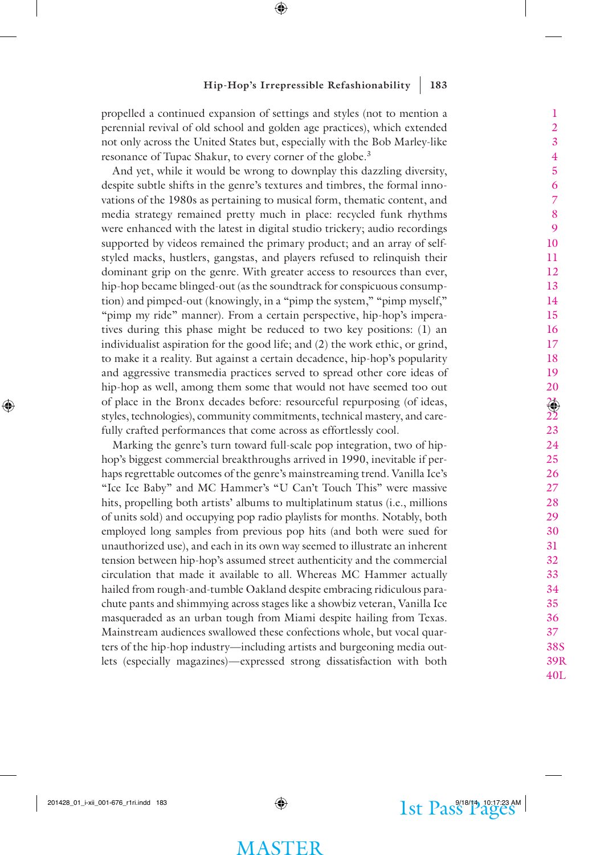propelled a continued expansion of settings and styles (not to mention a perennial revival of old school and golden age practices), which extended not only across the United States but, especially with the Bob Marley-like resonance of Tupac Shakur, to every corner of the globe.<sup>3</sup>

⊕

And yet, while it would be wrong to downplay this dazzling diversity, despite subtle shifts in the genre's textures and timbres, the formal innovations of the 1980s as pertaining to musical form, thematic content, and media strategy remained pretty much in place: recycled funk rhythms were enhanced with the latest in digital studio trickery; audio recordings supported by videos remained the primary product; and an array of selfstyled macks, hustlers, gangstas, and players refused to relinquish their dominant grip on the genre. With greater access to resources than ever, hip-hop became blinged-out (as the soundtrack for conspicuous consumption) and pimped-out (knowingly, in a "pimp the system," "pimp myself," "pimp my ride" manner). From a certain perspective, hip-hop's imperatives during this phase might be reduced to two key positions: (1) an individualist aspiration for the good life; and (2) the work ethic, or grind, to make it a reality. But against a certain decadence, hip-hop's popularity and aggressive transmedia practices served to spread other core ideas of hip-hop as well, among them some that would not have seemed too out of place in the Bronx decades before: resourceful repurposing (of ideas, styles, technologies), community commitments, technical mastery, and carefully crafted performances that come across as effortlessly cool.

Marking the genre's turn toward full-scale pop integration, two of hiphop's biggest commercial breakthroughs arrived in 1990, inevitable if perhaps regrettable outcomes of the genre's mainstreaming trend. Vanilla Ice's "Ice Ice Baby" and MC Hammer's "U Can't Touch This" were massive hits, propelling both artists' albums to multiplatinum status (i.e., millions of units sold) and occupying pop radio playlists for months. Notably, both employed long samples from previous pop hits (and both were sued for unauthorized use), and each in its own way seemed to illustrate an inherent tension between hip-hop's assumed street authenticity and the commercial circulation that made it available to all. Whereas MC Hammer actually hailed from rough-and-tumble Oakland despite embracing ridiculous parachute pants and shimmying across stages like a showbiz veteran, Vanilla Ice masqueraded as an urban tough from Miami despite hailing from Texas. Mainstream audiences swallowed these confections whole, but vocal quarters of the hip-hop industry—including artists and burgeoning media outlets (especially magazines)—expressed strong dissatisfaction with both

1 2 3

⊕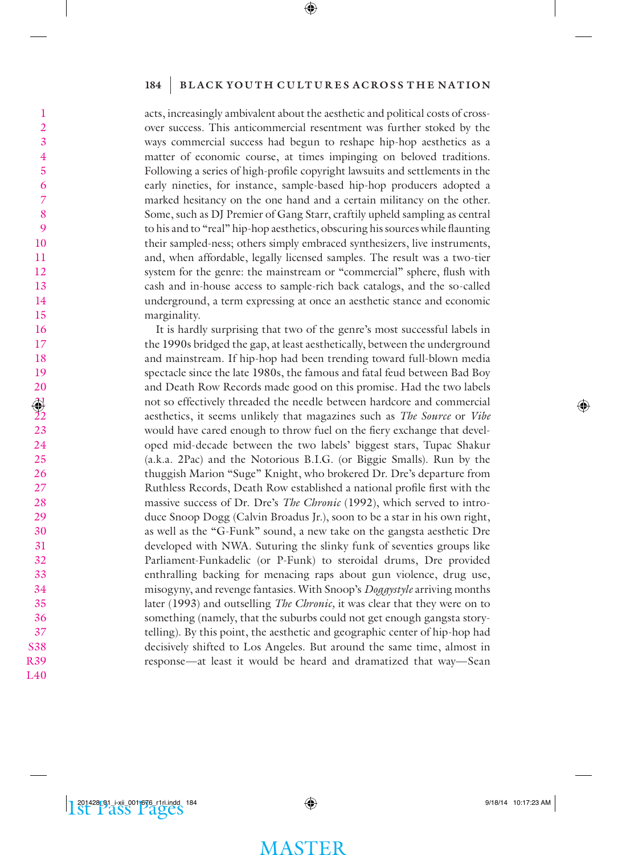$\bigoplus$ 

acts, increasingly ambivalent about the aesthetic and political costs of crossover success. This anticommercial resentment was further stoked by the ways commercial success had begun to reshape hip-hop aesthetics as a matter of economic course, at times impinging on beloved traditions. Following a series of high-profile copyright lawsuits and settlements in the early nineties, for instance, sample-based hip-hop producers adopted a marked hesitancy on the one hand and a certain militancy on the other. Some, such as DJ Premier of Gang Starr, craftily upheld sampling as central to his and to "real" hip-hop aesthetics, obscuring his sources while flaunting their sampled-ness; others simply embraced synthesizers, live instruments, and, when affordable, legally licensed samples. The result was a two-tier system for the genre: the mainstream or "commercial" sphere, flush with cash and in-house access to sample-rich back catalogs, and the so-called underground, a term expressing at once an aesthetic stance and economic marginality.

It is hardly surprising that two of the genre's most successful labels in the 1990s bridged the gap, at least aesthetically, between the underground and mainstream. If hip-hop had been trending toward full-blown media spectacle since the late 1980s, the famous and fatal feud between Bad Boy and Death Row Records made good on this promise. Had the two labels not so effectively threaded the needle between hardcore and commercial aesthetics, it seems unlikely that magazines such as *The Source* or *Vibe* would have cared enough to throw fuel on the fiery exchange that developed mid-decade between the two labels' biggest stars, Tupac Shakur (a.k.a. 2Pac) and the Notorious B.I.G. (or Biggie Smalls). Run by the thuggish Marion "Suge" Knight, who brokered Dr. Dre's departure from Ruthless Records, Death Row established a national profile first with the massive success of Dr. Dre's *The Chronic* (1992), which served to introduce Snoop Dogg (Calvin Broadus Jr.), soon to be a star in his own right, as well as the "G-Funk" sound, a new take on the gangsta aesthetic Dre developed with NWA. Suturing the slinky funk of seventies groups like Parliament-Funkadelic (or P-Funk) to steroidal drums, Dre provided enthralling backing for menacing raps about gun violence, drug use, misogyny, and revenge fantasies. With Snoop's *Doggystyle* arriving months later (1993) and outselling *The Chronic,* it was clear that they were on to something (namely, that the suburbs could not get enough gangsta storytelling). By this point, the aesthetic and geographic center of hip-hop had decisively shifted to Los Angeles. But around the same time, almost in response—at least it would be heard and dramatized that way—Sean

⊕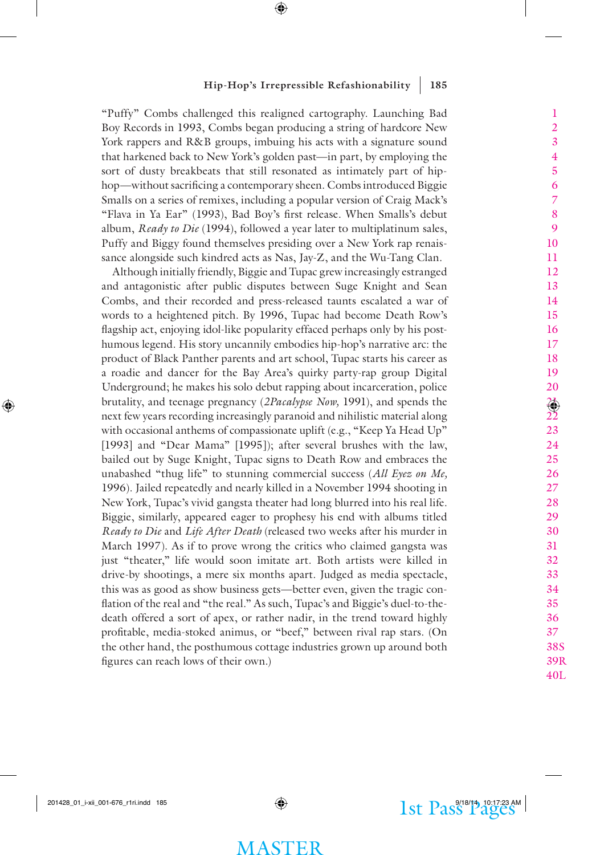"Puffy" Combs challenged this realigned cartography. Launching Bad Boy Records in 1993, Combs began producing a string of hardcore New York rappers and R&B groups, imbuing his acts with a signature sound that harkened back to New York's golden past—in part, by employing the sort of dusty breakbeats that still resonated as intimately part of hiphop—without sacrificing a contemporary sheen. Combs introduced Biggie Smalls on a series of remixes, including a popular version of Craig Mack's "Flava in Ya Ear" (1993), Bad Boy's first release. When Smalls's debut album, *Ready to Die* (1994), followed a year later to multiplatinum sales, Puffy and Biggy found themselves presiding over a New York rap renaissance alongside such kindred acts as Nas, Jay-Z, and the Wu-Tang Clan.

⊕

Although initially friendly, Biggie and Tupac grew increasingly estranged and antagonistic after public disputes between Suge Knight and Sean Combs, and their recorded and press-released taunts escalated a war of words to a heightened pitch. By 1996, Tupac had become Death Row's flagship act, enjoying idol-like popularity effaced perhaps only by his posthumous legend. His story uncannily embodies hip-hop's narrative arc: the product of Black Panther parents and art school, Tupac starts his career as a roadie and dancer for the Bay Area's quirky party-rap group Digital Underground; he makes his solo debut rapping about incarceration, police brutality, and teenage pregnancy (*2Pacalypse Now,* 1991), and spends the next few years recording increasingly paranoid and nihilistic material along with occasional anthems of compassionate uplift (e.g., "Keep Ya Head Up" [1993] and "Dear Mama" [1995]); after several brushes with the law, bailed out by Suge Knight, Tupac signs to Death Row and embraces the unabashed "thug life" to stunning commercial success (*All Eyez on Me,* 1996). Jailed repeatedly and nearly killed in a November 1994 shooting in New York, Tupac's vivid gangsta theater had long blurred into his real life. Biggie, similarly, appeared eager to prophesy his end with albums titled *Ready to Die* and *Life After Death* (released two weeks after his murder in March 1997). As if to prove wrong the critics who claimed gangsta was just "theater," life would soon imitate art. Both artists were killed in drive-by shootings, a mere six months apart. Judged as media spectacle, this was as good as show business gets—better even, given the tragic conflation of the real and "the real." As such, Tupac's and Biggie's duel-to-thedeath offered a sort of apex, or rather nadir, in the trend toward highly profitable, media-stoked animus, or "beef," between rival rap stars. (On the other hand, the posthumous cottage industries grown up around both figures can reach lows of their own.)

1 2

⊕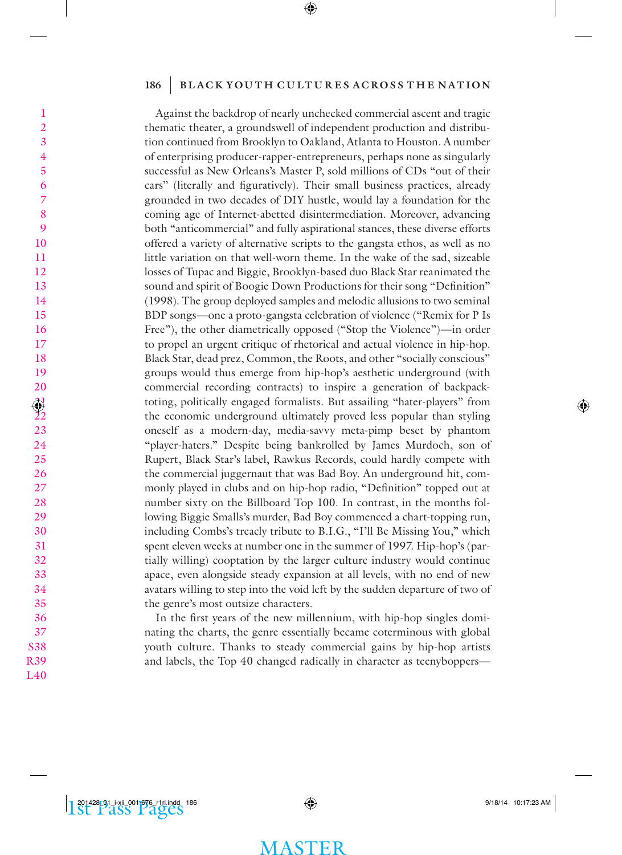⊕

Against the backdrop of nearly unchecked commercial ascent and tragic thematic theater, a groundswell of independent production and distribution continued from Brooklyn to Oakland, Atlanta to Houston. A number of enterprising producer-rapper-entrepreneurs, perhaps none as singularly successful as New Orleans's Master P, sold millions of CDs "out of their cars" (literally and figuratively). Their small business practices, already grounded in two decades of DIY hustle, would lay a foundation for the coming age of Internet-abetted disintermediation. Moreover, advancing both "anticommercial" and fully aspirational stances, these diverse efforts offered a variety of alternative scripts to the gangsta ethos, as well as no little variation on that well-worn theme. In the wake of the sad, sizeable losses of Tupac and Biggie, Brooklyn-based duo Black Star reanimated the sound and spirit of Boogie Down Productions for their song "Definition" (1998). The group deployed samples and melodic allusions to two seminal BDP songs—one a proto-gangsta celebration of violence ("Remix for P Is Free"), the other diametrically opposed ("Stop the Violence")—in order to propel an urgent critique of rhetorical and actual violence in hip-hop. Black Star, dead prez, Common, the Roots, and other "socially conscious" groups would thus emerge from hip-hop's aesthetic underground (with commercial recording contracts) to inspire a generation of backpacktoting, politically engaged formalists. But assailing "hater-players" from the economic underground ultimately proved less popular than styling oneself as a modern-day, media-savvy meta-pimp beset by phantom "player-haters." Despite being bankrolled by James Murdoch, son of Rupert, Black Star's label, Rawkus Records, could hardly compete with the commercial juggernaut that was Bad Boy. An underground hit, commonly played in clubs and on hip-hop radio, "Definition" topped out at number sixty on the Billboard Top 100. In contrast, in the months following Biggie Smalls's murder, Bad Boy commenced a chart-topping run, including Combs's treacly tribute to B.I.G., "I'll Be Missing You," which spent eleven weeks at number one in the summer of 1997. Hip-hop's (partially willing) cooptation by the larger culture industry would continue apace, even alongside steady expansion at all levels, with no end of new avatars willing to step into the void left by the sudden departure of two of the genre's most outsize characters.

In the first years of the new millennium, with hip-hop singles dominating the charts, the genre essentially became coterminous with global youth culture. Thanks to steady commercial gains by hip-hop artists and labels, the Top 40 changed radically in character as teenyboppers—

⊕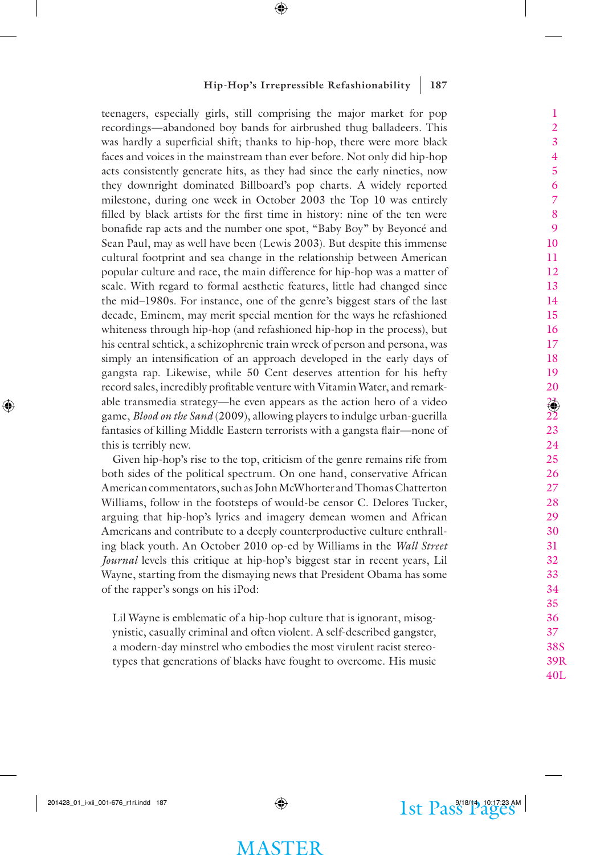teenagers, especially girls, still comprising the major market for pop recordings—abandoned boy bands for airbrushed thug balladeers. This was hardly a superficial shift; thanks to hip-hop, there were more black faces and voices in the mainstream than ever before. Not only did hip-hop acts consistently generate hits, as they had since the early nineties, now they downright dominated Billboard's pop charts. A widely reported milestone, during one week in October 2003 the Top 10 was entirely filled by black artists for the first time in history: nine of the ten were bonafide rap acts and the number one spot, "Baby Boy" by Beyoncé and Sean Paul, may as well have been (Lewis 2003). But despite this immense cultural footprint and sea change in the relationship between American popular culture and race, the main difference for hip-hop was a matter of scale. With regard to formal aesthetic features, little had changed since the mid–1980s. For instance, one of the genre's biggest stars of the last decade, Eminem, may merit special mention for the ways he refashioned whiteness through hip-hop (and refashioned hip-hop in the process), but his central schtick, a schizophrenic train wreck of person and persona, was simply an intensification of an approach developed in the early days of gangsta rap. Likewise, while 50 Cent deserves attention for his hefty record sales, incredibly profitable venture with Vitamin Water, and remarkable transmedia strategy—he even appears as the action hero of a video game, *Blood on the Sand* (2009), allowing players to indulge urban-guerilla fantasies of killing Middle Eastern terrorists with a gangsta flair—none of this is terribly new.

⊕

Given hip-hop's rise to the top, criticism of the genre remains rife from both sides of the political spectrum. On one hand, conservative African American commentators, such as John McWhorter and Thomas Chatterton Williams, follow in the footsteps of would-be censor C. Delores Tucker, arguing that hip-hop's lyrics and imagery demean women and African Americans and contribute to a deeply counterproductive culture enthralling black youth. An October 2010 op-ed by Williams in the *Wall Street Journal* levels this critique at hip-hop's biggest star in recent years, Lil Wayne, starting from the dismaying news that President Obama has some of the rapper's songs on his iPod:

Lil Wayne is emblematic of a hip-hop culture that is ignorant, misogynistic, casually criminal and often violent. A self-described gangster, a modern-day minstrel who embodies the most virulent racist stereotypes that generations of blacks have fought to overcome. His music

1 2 3

⊕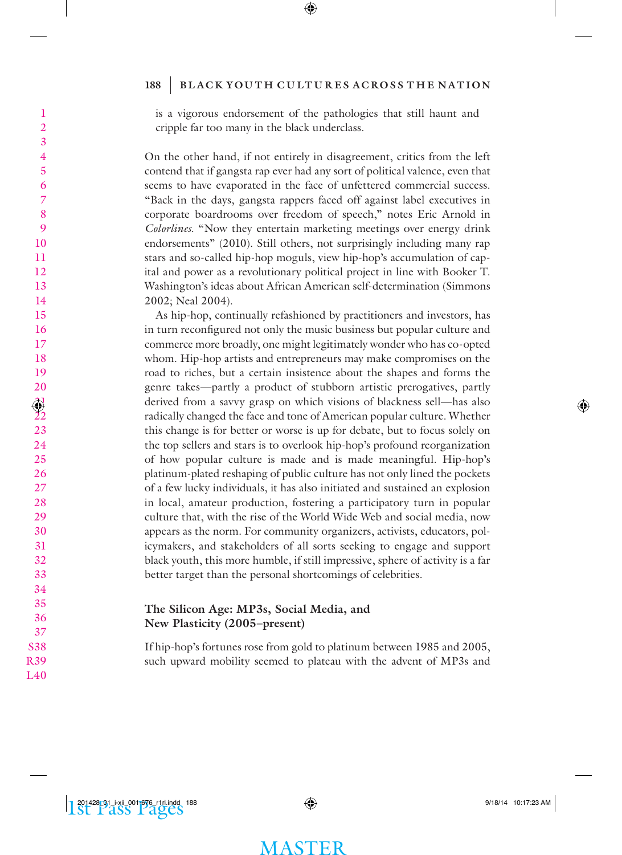⊕

is a vigorous endorsement of the pathologies that still haunt and cripple far too many in the black underclass.

On the other hand, if not entirely in disagreement, critics from the left contend that if gangsta rap ever had any sort of political valence, even that seems to have evaporated in the face of unfettered commercial success. "Back in the days, gangsta rappers faced off against label executives in corporate boardrooms over freedom of speech," notes Eric Arnold in *Colorlines.* "Now they entertain marketing meetings over energy drink endorsements" (2010). Still others, not surprisingly including many rap stars and so-called hip-hop moguls, view hip-hop's accumulation of capital and power as a revolutionary political project in line with Booker T. Washington's ideas about African American self-determination (Simmons 2002; Neal 2004).

As hip-hop, continually refashioned by practitioners and investors, has in turn reconfigured not only the music business but popular culture and commerce more broadly, one might legitimately wonder who has co-opted whom. Hip-hop artists and entrepreneurs may make compromises on the road to riches, but a certain insistence about the shapes and forms the genre takes—partly a product of stubborn artistic prerogatives, partly derived from a savvy grasp on which visions of blackness sell—has also radically changed the face and tone of American popular culture. Whether this change is for better or worse is up for debate, but to focus solely on the top sellers and stars is to overlook hip-hop's profound reorganization of how popular culture is made and is made meaningful. Hip-hop's platinum-plated reshaping of public culture has not only lined the pockets of a few lucky individuals, it has also initiated and sustained an explosion in local, amateur production, fostering a participatory turn in popular culture that, with the rise of the World Wide Web and social media, now appears as the norm. For community organizers, activists, educators, policymakers, and stakeholders of all sorts seeking to engage and support black youth, this more humble, if still impressive, sphere of activity is a far better target than the personal shortcomings of celebrities.

#### **The Silicon Age: MP3s, Social Media, and New Plasticity (2005–present)**

If hip-hop's fortunes rose from gold to platinum between 1985 and 2005, such upward mobility seemed to plateau with the advent of MP3s and

⊕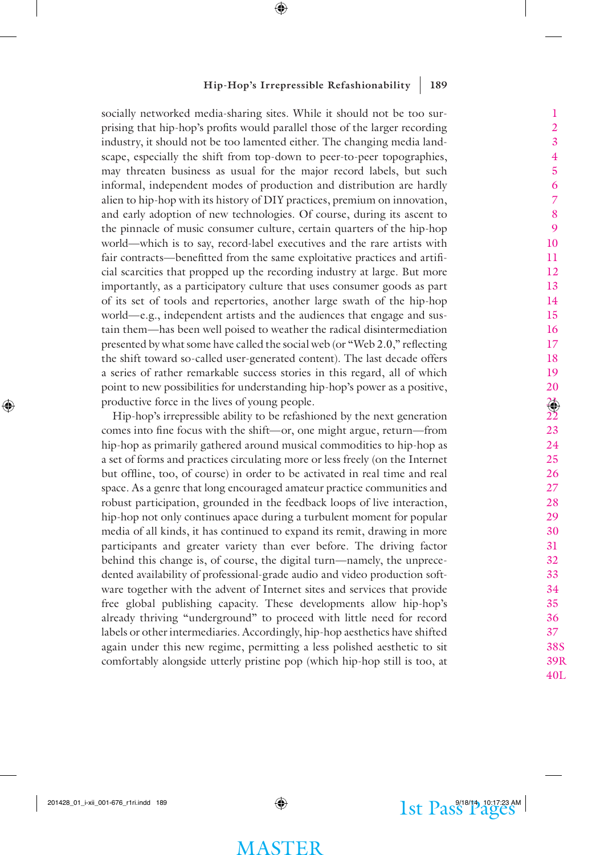socially networked media-sharing sites. While it should not be too surprising that hip-hop's profits would parallel those of the larger recording industry, it should not be too lamented either. The changing media landscape, especially the shift from top-down to peer-to-peer topographies, may threaten business as usual for the major record labels, but such informal, independent modes of production and distribution are hardly alien to hip-hop with its history of DIY practices, premium on innovation, and early adoption of new technologies. Of course, during its ascent to the pinnacle of music consumer culture, certain quarters of the hip-hop world—which is to say, record-label executives and the rare artists with fair contracts—benefitted from the same exploitative practices and artificial scarcities that propped up the recording industry at large. But more importantly, as a participatory culture that uses consumer goods as part of its set of tools and repertories, another large swath of the hip-hop world—e.g., independent artists and the audiences that engage and sustain them—has been well poised to weather the radical disintermediation presented by what some have called the social web (or "Web 2.0," reflecting the shift toward so-called user-generated content). The last decade offers a series of rather remarkable success stories in this regard, all of which point to new possibilities for understanding hip-hop's power as a positive, productive force in the lives of young people.

⊕

Hip-hop's irrepressible ability to be refashioned by the next generation comes into fine focus with the shift—or, one might argue, return—from hip-hop as primarily gathered around musical commodities to hip-hop as a set of forms and practices circulating more or less freely (on the Internet but offline, too, of course) in order to be activated in real time and real space. As a genre that long encouraged amateur practice communities and robust participation, grounded in the feedback loops of live interaction, hip-hop not only continues apace during a turbulent moment for popular media of all kinds, it has continued to expand its remit, drawing in more participants and greater variety than ever before. The driving factor behind this change is, of course, the digital turn—namely, the unprecedented availability of professional-grade audio and video production software together with the advent of Internet sites and services that provide free global publishing capacity. These developments allow hip-hop's already thriving "underground" to proceed with little need for record labels or other intermediaries. Accordingly, hip-hop aesthetics have shifted again under this new regime, permitting a less polished aesthetic to sit comfortably alongside utterly pristine pop (which hip-hop still is too, at

37 38S 39R 40L

1 2

⊕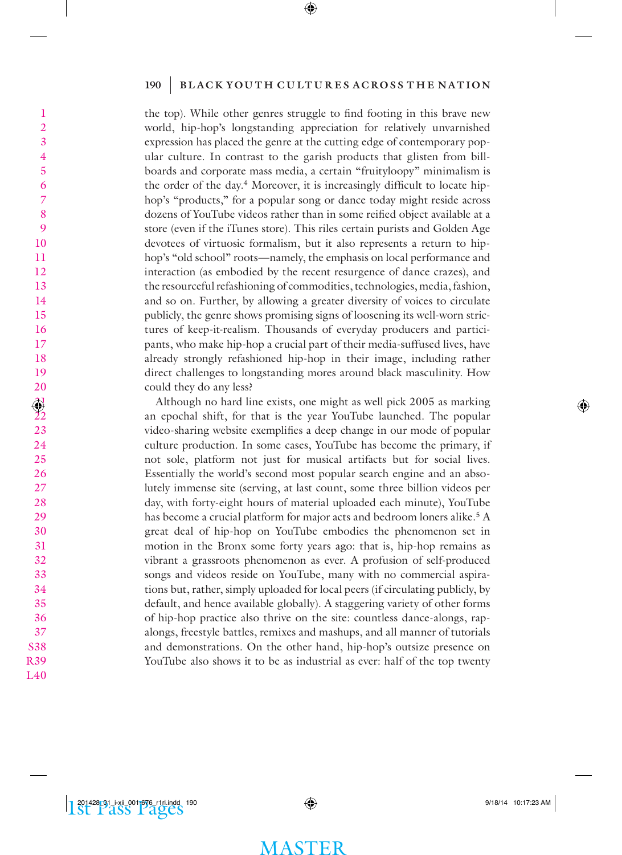⊕

the top). While other genres struggle to find footing in this brave new world, hip-hop's longstanding appreciation for relatively unvarnished expression has placed the genre at the cutting edge of contemporary popular culture. In contrast to the garish products that glisten from billboards and corporate mass media, a certain "fruityloopy" minimalism is the order of the day.<sup>4</sup> Moreover, it is increasingly difficult to locate hiphop's "products," for a popular song or dance today might reside across dozens of YouTube videos rather than in some reified object available at a store (even if the iTunes store). This riles certain purists and Golden Age devotees of virtuosic formalism, but it also represents a return to hiphop's "old school" roots—namely, the emphasis on local performance and interaction (as embodied by the recent resurgence of dance crazes), and the resourceful refashioning of commodities, technologies, media, fashion, and so on. Further, by allowing a greater diversity of voices to circulate publicly, the genre shows promising signs of loosening its well-worn strictures of keep-it-realism. Thousands of everyday producers and participants, who make hip-hop a crucial part of their media-suffused lives, have already strongly refashioned hip-hop in their image, including rather direct challenges to longstanding mores around black masculinity. How could they do any less?

Although no hard line exists, one might as well pick 2005 as marking an epochal shift, for that is the year YouTube launched. The popular video-sharing website exemplifies a deep change in our mode of popular culture production. In some cases, YouTube has become the primary, if not sole, platform not just for musical artifacts but for social lives. Essentially the world's second most popular search engine and an absolutely immense site (serving, at last count, some three billion videos per day, with forty-eight hours of material uploaded each minute), YouTube has become a crucial platform for major acts and bedroom loners alike.<sup>5</sup> A great deal of hip-hop on YouTube embodies the phenomenon set in motion in the Bronx some forty years ago: that is, hip-hop remains as vibrant a grassroots phenomenon as ever. A profusion of self-produced songs and videos reside on YouTube, many with no commercial aspirations but, rather, simply uploaded for local peers (if circulating publicly, by default, and hence available globally). A staggering variety of other forms of hip-hop practice also thrive on the site: countless dance-alongs, rapalongs, freestyle battles, remixes and mashups, and all manner of tutorials and demonstrations. On the other hand, hip-hop's outsize presence on YouTube also shows it to be as industrial as ever: half of the top twenty

⊕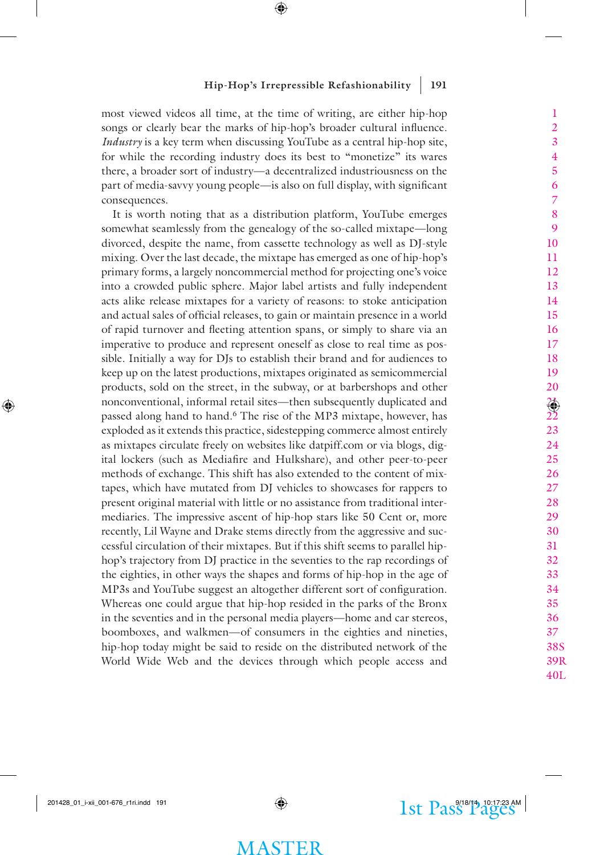most viewed videos all time, at the time of writing, are either hip-hop songs or clearly bear the marks of hip-hop's broader cultural influence. *Industry* is a key term when discussing YouTube as a central hip-hop site, for while the recording industry does its best to "monetize" its wares there, a broader sort of industry—a decentralized industriousness on the part of media-savvy young people—is also on full display, with significant consequences.

⊕

It is worth noting that as a distribution platform, YouTube emerges somewhat seamlessly from the genealogy of the so-called mixtape—long divorced, despite the name, from cassette technology as well as DJ-style mixing. Over the last decade, the mixtape has emerged as one of hip-hop's primary forms, a largely noncommercial method for projecting one's voice into a crowded public sphere. Major label artists and fully independent acts alike release mixtapes for a variety of reasons: to stoke anticipation and actual sales of official releases, to gain or maintain presence in a world of rapid turnover and fleeting attention spans, or simply to share via an imperative to produce and represent oneself as close to real time as possible. Initially a way for DJs to establish their brand and for audiences to keep up on the latest productions, mixtapes originated as semicommercial products, sold on the street, in the subway, or at barbershops and other nonconventional, informal retail sites—then subsequently duplicated and passed along hand to hand.<sup>6</sup> The rise of the MP3 mixtape, however, has exploded as it extends this practice, sidestepping commerce almost entirely as mixtapes circulate freely on websites like datpiff.com or via blogs, digital lockers (such as Mediafire and Hulkshare), and other peer-to-peer methods of exchange. This shift has also extended to the content of mixtapes, which have mutated from DJ vehicles to showcases for rappers to present original material with little or no assistance from traditional intermediaries. The impressive ascent of hip-hop stars like 50 Cent or, more recently, Lil Wayne and Drake stems directly from the aggressive and successful circulation of their mixtapes. But if this shift seems to parallel hiphop's trajectory from DJ practice in the seventies to the rap recordings of the eighties, in other ways the shapes and forms of hip-hop in the age of MP3s and YouTube suggest an altogether different sort of configuration. Whereas one could argue that hip-hop resided in the parks of the Bronx in the seventies and in the personal media players—home and car stereos, boomboxes, and walkmen—of consumers in the eighties and nineties, hip-hop today might be said to reside on the distributed network of the World Wide Web and the devices through which people access and

37 38S 39R 40L

⊕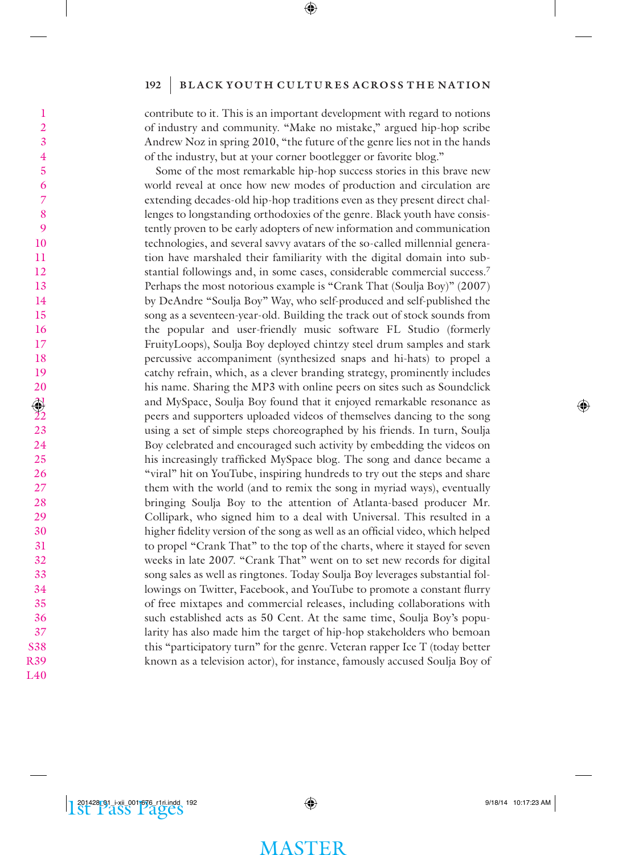⊕

contribute to it. This is an important development with regard to notions of industry and community. "Make no mistake," argued hip-hop scribe Andrew Noz in spring 2010, "the future of the genre lies not in the hands of the industry, but at your corner bootlegger or favorite blog."

Some of the most remarkable hip-hop success stories in this brave new world reveal at once how new modes of production and circulation are extending decades-old hip-hop traditions even as they present direct challenges to longstanding orthodoxies of the genre. Black youth have consistently proven to be early adopters of new information and communication technologies, and several savvy avatars of the so-called millennial generation have marshaled their familiarity with the digital domain into substantial followings and, in some cases, considerable commercial success.7 Perhaps the most notorious example is "Crank That (Soulja Boy)" (2007) by DeAndre "Soulja Boy" Way, who self-produced and self-published the song as a seventeen-year-old. Building the track out of stock sounds from the popular and user-friendly music software FL Studio (formerly FruityLoops), Soulja Boy deployed chintzy steel drum samples and stark percussive accompaniment (synthesized snaps and hi-hats) to propel a catchy refrain, which, as a clever branding strategy, prominently includes his name. Sharing the MP3 with online peers on sites such as Soundclick and MySpace, Soulja Boy found that it enjoyed remarkable resonance as peers and supporters uploaded videos of themselves dancing to the song using a set of simple steps choreographed by his friends. In turn, Soulja Boy celebrated and encouraged such activity by embedding the videos on his increasingly trafficked MySpace blog. The song and dance became a "viral" hit on YouTube, inspiring hundreds to try out the steps and share them with the world (and to remix the song in myriad ways), eventually bringing Soulja Boy to the attention of Atlanta-based producer Mr. Collipark, who signed him to a deal with Universal. This resulted in a higher fidelity version of the song as well as an official video, which helped to propel "Crank That" to the top of the charts, where it stayed for seven weeks in late 2007. "Crank That" went on to set new records for digital song sales as well as ringtones. Today Soulja Boy leverages substantial followings on Twitter, Facebook, and YouTube to promote a constant flurry of free mixtapes and commercial releases, including collaborations with such established acts as 50 Cent. At the same time, Soulja Boy's popularity has also made him the target of hip-hop stakeholders who bemoan this "participatory turn" for the genre. Veteran rapper Ice T (today better known as a television actor), for instance, famously accused Soulja Boy of

⊕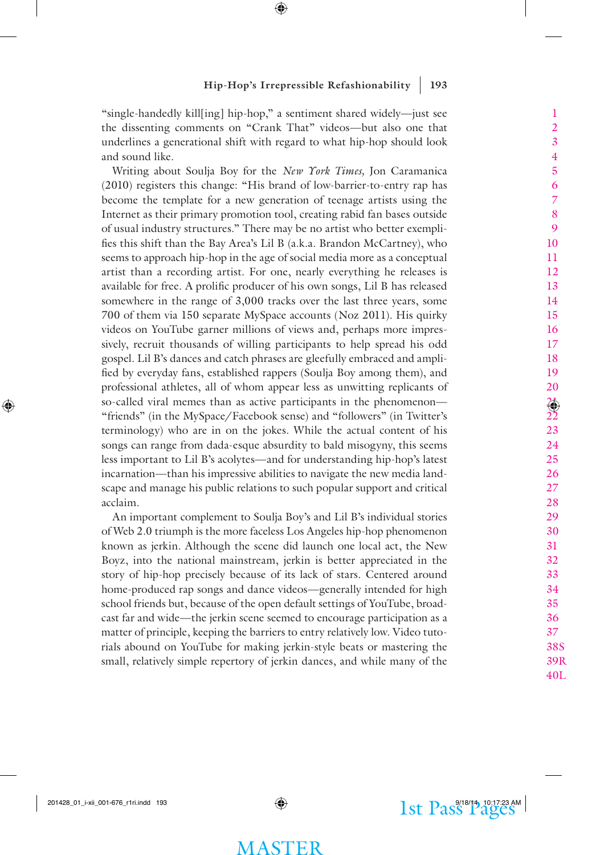"single-handedly kill[ing] hip-hop," a sentiment shared widely—just see the dissenting comments on "Crank That" videos—but also one that underlines a generational shift with regard to what hip-hop should look and sound like.

⊕

Writing about Soulja Boy for the *New York Times,* Jon Caramanica (2010) registers this change: "His brand of low-barrier-to-entry rap has become the template for a new generation of teenage artists using the Internet as their primary promotion tool, creating rabid fan bases outside of usual industry structures." There may be no artist who better exemplifies this shift than the Bay Area's Lil B (a.k.a. Brandon McCartney), who seems to approach hip-hop in the age of social media more as a conceptual artist than a recording artist. For one, nearly everything he releases is available for free. A prolific producer of his own songs, Lil B has released somewhere in the range of 3,000 tracks over the last three years, some 700 of them via 150 separate MySpace accounts (Noz 2011). His quirky videos on YouTube garner millions of views and, perhaps more impressively, recruit thousands of willing participants to help spread his odd gospel. Lil B's dances and catch phrases are gleefully embraced and amplified by everyday fans, established rappers (Soulja Boy among them), and professional athletes, all of whom appear less as unwitting replicants of so-called viral memes than as active participants in the phenomenon— "friends" (in the MySpace/Facebook sense) and "followers" (in Twitter's terminology) who are in on the jokes. While the actual content of his songs can range from dada-esque absurdity to bald misogyny, this seems less important to Lil B's acolytes—and for understanding hip-hop's latest incarnation—than his impressive abilities to navigate the new media landscape and manage his public relations to such popular support and critical acclaim.

An important complement to Soulja Boy's and Lil B's individual stories of Web 2.0 triumph is the more faceless Los Angeles hip-hop phenomenon known as jerkin. Although the scene did launch one local act, the New Boyz, into the national mainstream, jerkin is better appreciated in the story of hip-hop precisely because of its lack of stars. Centered around home-produced rap songs and dance videos—generally intended for high school friends but, because of the open default settings of YouTube, broadcast far and wide—the jerkin scene seemed to encourage participation as a matter of principle, keeping the barriers to entry relatively low. Video tutorials abound on YouTube for making jerkin-style beats or mastering the small, relatively simple repertory of jerkin dances, and while many of the

> 39R 40L

1 2

⊕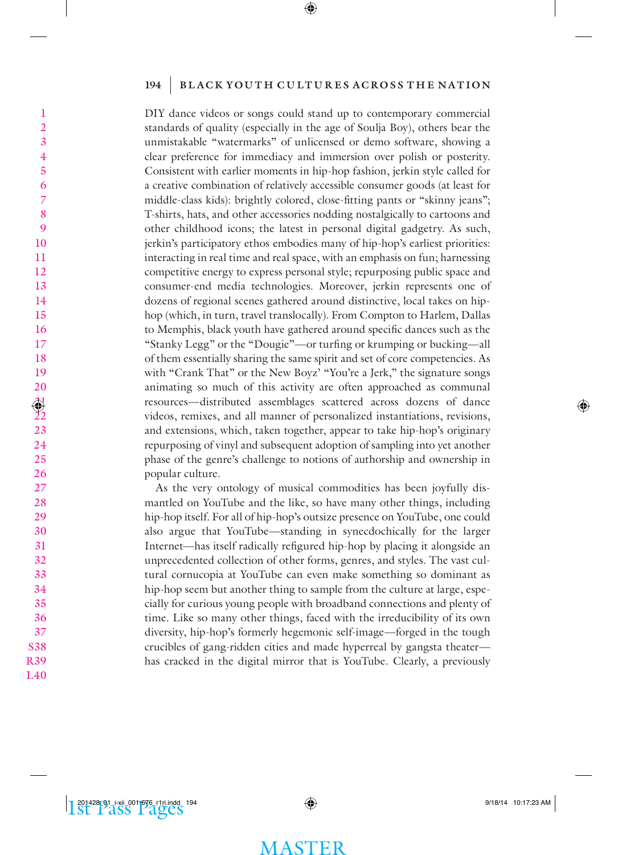⊕

DIY dance videos or songs could stand up to contemporary commercial standards of quality (especially in the age of Soulja Boy), others bear the unmistakable "watermarks" of unlicensed or demo software, showing a clear preference for immediacy and immersion over polish or posterity. Consistent with earlier moments in hip-hop fashion, jerkin style called for a creative combination of relatively accessible consumer goods (at least for middle-class kids): brightly colored, close-fitting pants or "skinny jeans"; T-shirts, hats, and other accessories nodding nostalgically to cartoons and other childhood icons; the latest in personal digital gadgetry. As such, jerkin's participatory ethos embodies many of hip-hop's earliest priorities: interacting in real time and real space, with an emphasis on fun; harnessing competitive energy to express personal style; repurposing public space and consumer-end media technologies. Moreover, jerkin represents one of dozens of regional scenes gathered around distinctive, local takes on hiphop (which, in turn, travel translocally). From Compton to Harlem, Dallas to Memphis, black youth have gathered around specific dances such as the "Stanky Legg" or the "Dougie"—or turfing or krumping or bucking—all of them essentially sharing the same spirit and set of core competencies. As with "Crank That" or the New Boyz' "You're a Jerk," the signature songs animating so much of this activity are often approached as communal resources—distributed assemblages scattered across dozens of dance videos, remixes, and all manner of personalized instantiations, revisions, and extensions, which, taken together, appear to take hip-hop's originary repurposing of vinyl and subsequent adoption of sampling into yet another phase of the genre's challenge to notions of authorship and ownership in popular culture.

As the very ontology of musical commodities has been joyfully dismantled on YouTube and the like, so have many other things, including hip-hop itself. For all of hip-hop's outsize presence on YouTube, one could also argue that YouTube—standing in synecdochically for the larger Internet—has itself radically refigured hip-hop by placing it alongside an unprecedented collection of other forms, genres, and styles. The vast cultural cornucopia at YouTube can even make something so dominant as hip-hop seem but another thing to sample from the culture at large, especially for curious young people with broadband connections and plenty of time. Like so many other things, faced with the irreducibility of its own diversity, hip-hop's formerly hegemonic self-image—forged in the tough crucibles of gang-ridden cities and made hyperreal by gangsta theater has cracked in the digital mirror that is YouTube. Clearly, a previously

⊕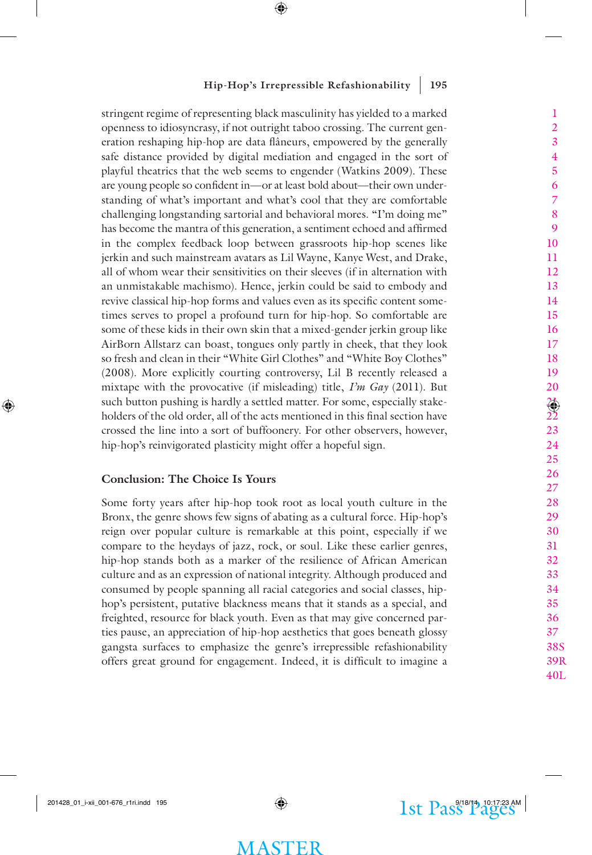stringent regime of representing black masculinity has yielded to a marked openness to idiosyncrasy, if not outright taboo crossing. The current generation reshaping hip-hop are data flâneurs, empowered by the generally safe distance provided by digital mediation and engaged in the sort of playful theatrics that the web seems to engender (Watkins 2009). These are young people so confident in—or at least bold about—their own understanding of what's important and what's cool that they are comfortable challenging longstanding sartorial and behavioral mores. "I'm doing me" has become the mantra of this generation, a sentiment echoed and affirmed in the complex feedback loop between grassroots hip-hop scenes like jerkin and such mainstream avatars as Lil Wayne, Kanye West, and Drake, all of whom wear their sensitivities on their sleeves (if in alternation with an unmistakable machismo). Hence, jerkin could be said to embody and revive classical hip-hop forms and values even as its specific content sometimes serves to propel a profound turn for hip-hop. So comfortable are some of these kids in their own skin that a mixed-gender jerkin group like AirBorn Allstarz can boast, tongues only partly in cheek, that they look so fresh and clean in their "White Girl Clothes" and "White Boy Clothes" (2008). More explicitly courting controversy, Lil B recently released a mixtape with the provocative (if misleading) title, *I'm Gay* (2011). But such button pushing is hardly a settled matter. For some, especially stakeholders of the old order, all of the acts mentioned in this final section have crossed the line into a sort of buffoonery. For other observers, however, hip-hop's reinvigorated plasticity might offer a hopeful sign.

⊕

#### **Conclusion: The Choice Is Yours**

Some forty years after hip-hop took root as local youth culture in the Bronx, the genre shows few signs of abating as a cultural force. Hip-hop's reign over popular culture is remarkable at this point, especially if we compare to the heydays of jazz, rock, or soul. Like these earlier genres, hip-hop stands both as a marker of the resilience of African American culture and as an expression of national integrity. Although produced and consumed by people spanning all racial categories and social classes, hiphop's persistent, putative blackness means that it stands as a special, and freighted, resource for black youth. Even as that may give concerned parties pause, an appreciation of hip-hop aesthetics that goes beneath glossy gangsta surfaces to emphasize the genre's irrepressible refashionability offers great ground for engagement. Indeed, it is difficult to imagine a

40L

⊕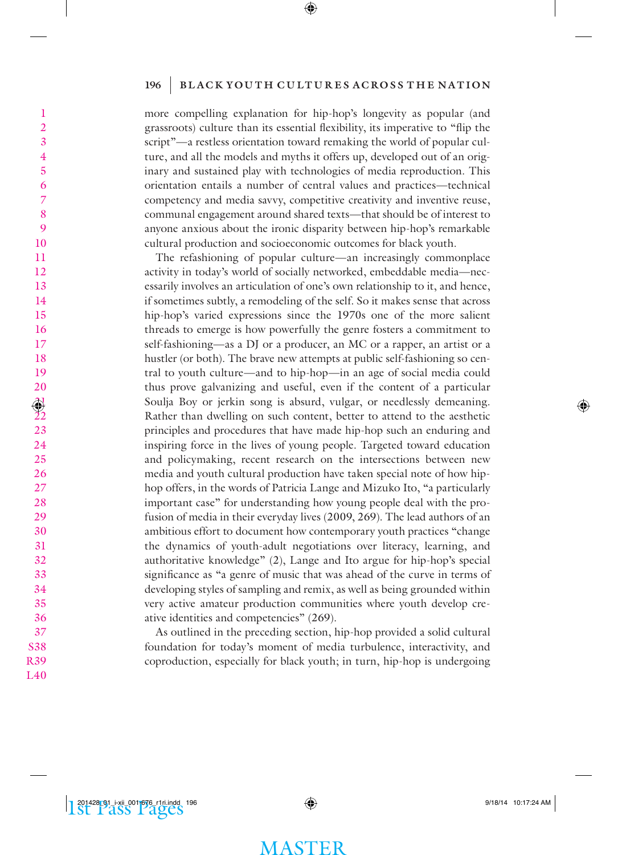⊕

more compelling explanation for hip-hop's longevity as popular (and grassroots) culture than its essential flexibility, its imperative to "flip the script"—a restless orientation toward remaking the world of popular culture, and all the models and myths it offers up, developed out of an originary and sustained play with technologies of media reproduction. This orientation entails a number of central values and practices—technical competency and media savvy, competitive creativity and inventive reuse, communal engagement around shared texts—that should be of interest to anyone anxious about the ironic disparity between hip-hop's remarkable cultural production and socioeconomic outcomes for black youth.

The refashioning of popular culture—an increasingly commonplace activity in today's world of socially networked, embeddable media—necessarily involves an articulation of one's own relationship to it, and hence, if sometimes subtly, a remodeling of the self. So it makes sense that across hip-hop's varied expressions since the 1970s one of the more salient threads to emerge is how powerfully the genre fosters a commitment to self-fashioning—as a DJ or a producer, an MC or a rapper, an artist or a hustler (or both). The brave new attempts at public self-fashioning so central to youth culture—and to hip-hop—in an age of social media could thus prove galvanizing and useful, even if the content of a particular Soulja Boy or jerkin song is absurd, vulgar, or needlessly demeaning. Rather than dwelling on such content, better to attend to the aesthetic principles and procedures that have made hip-hop such an enduring and inspiring force in the lives of young people. Targeted toward education and policymaking, recent research on the intersections between new media and youth cultural production have taken special note of how hiphop offers, in the words of Patricia Lange and Mizuko Ito, "a particularly important case" for understanding how young people deal with the profusion of media in their everyday lives (2009, 269). The lead authors of an ambitious effort to document how contemporary youth practices "change the dynamics of youth-adult negotiations over literacy, learning, and authoritative knowledge" (2), Lange and Ito argue for hip-hop's special significance as "a genre of music that was ahead of the curve in terms of developing styles of sampling and remix, as well as being grounded within very active amateur production communities where youth develop creative identities and competencies" (269).

As outlined in the preceding section, hip-hop provided a solid cultural foundation for today's moment of media turbulence, interactivity, and coproduction, especially for black youth; in turn, hip-hop is undergoing

⊕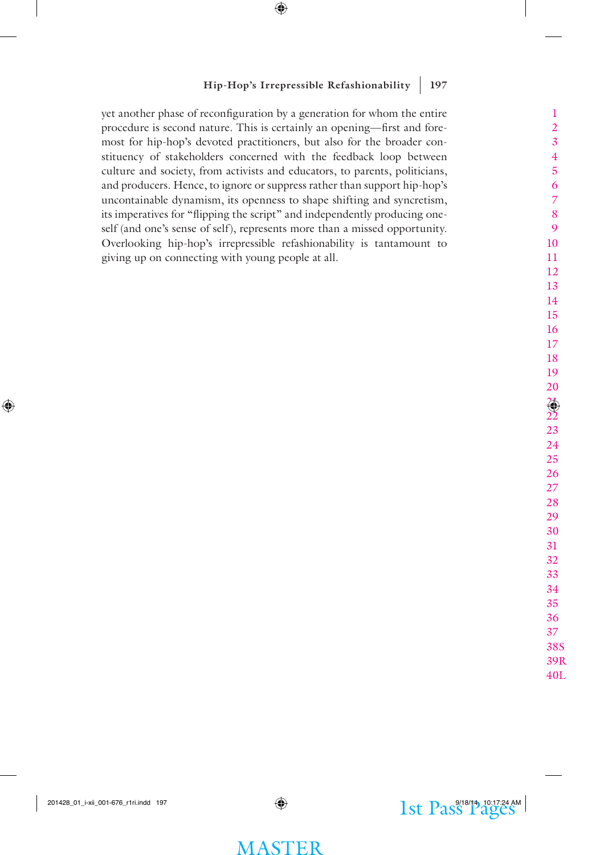yet another phase of reconfiguration by a generation for whom the entire procedure is second nature. This is certainly an opening—first and foremost for hip-hop's devoted practitioners, but also for the broader constituency of stakeholders concerned with the feedback loop between culture and society, from activists and educators, to parents, politicians, and producers. Hence, to ignore or suppress rather than support hip-hop's uncontainable dynamism, its openness to shape shifting and syncretism, its imperatives for "flipping the script" and independently producing oneself (and one's sense of self), represents more than a missed opportunity. Overlooking hip-hop's irrepressible refashionability is tantamount to giving up on connecting with young people at all.

⊕

⊕